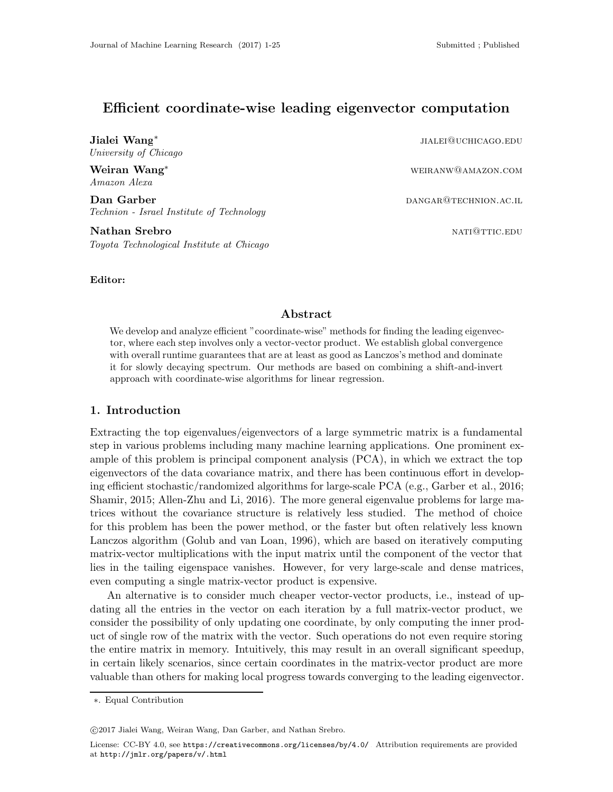# Efficient coordinate-wise leading eigenvector computation

Jialei Wang∗ University of Chicago jialei@uchicago.edu

Weiran Wang∗ weiranw@amazon.com Amazon Alexa

**Dan Garber** dangar dan general best and the part of the part of the part of the part of the part of the part of the part of the part of the part of the part of the part of the part of the part of the part of the part of t Technion - Israel Institute of Technology

**Nathan Srebro national state of the set of the set of the set of the set of the set of the set of the set of the set of the set of the set of the set of the set of the set of the set of the set of the set of the set of th** Toyota Technological Institute at Chicago

# Editor:

### Abstract

We develop and analyze efficient "coordinate-wise" methods for finding the leading eigenvector, where each step involves only a vector-vector product. We establish global convergence with overall runtime guarantees that are at least as good as Lanczos's method and dominate it for slowly decaying spectrum. Our methods are based on combining a shift-and-invert approach with coordinate-wise algorithms for linear regression.

# 1. Introduction

Extracting the top eigenvalues/eigenvectors of a large symmetric matrix is a fundamental step in various problems including many machine learning applications. One prominent example of this problem is principal component analysis (PCA), in which we extract the top eigenvectors of the data covariance matrix, and there has been continuous effort in developing efficient stochastic/randomized algorithms for large-scale PCA (e.g., [Garber et al., 2016](#page-12-0); [Shamir, 2015;](#page-13-0) [Allen-Zhu and Li](#page-12-1), [2016\)](#page-12-1). The more general eigenvalue problems for large matrices without the covariance structure is relatively less studied. The method of choice for this problem has been the power method, or the faster but often relatively less known Lanczos algorithm [\(Golub and van Loan, 1996](#page-12-2)), which are based on iteratively computing matrix-vector multiplications with the input matrix until the component of the vector that lies in the tailing eigenspace vanishes. However, for very large-scale and dense matrices, even computing a single matrix-vector product is expensive.

An alternative is to consider much cheaper vector-vector products, i.e., instead of updating all the entries in the vector on each iteration by a full matrix-vector product, we consider the possibility of only updating one coordinate, by only computing the inner product of single row of the matrix with the vector. Such operations do not even require storing the entire matrix in memory. Intuitively, this may result in an overall significant speedup, in certain likely scenarios, since certain coordinates in the matrix-vector product are more valuable than others for making local progress towards converging to the leading eigenvector.

c 2017 Jialei Wang, Weiran Wang, Dan Garber, and Nathan Srebro.

<sup>∗</sup>. Equal Contribution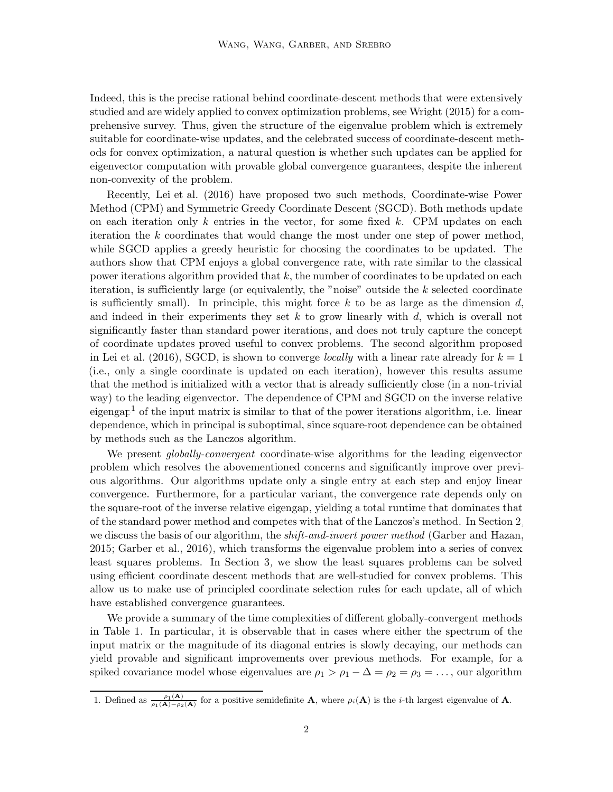Indeed, this is the precise rational behind coordinate-descent methods that were extensively studied and are widely applied to convex optimization problems, see [Wright \(2015](#page-13-1)) for a comprehensive survey. Thus, given the structure of the eigenvalue problem which is extremely suitable for coordinate-wise updates, and the celebrated success of coordinate-descent methods for convex optimization, a natural question is whether such updates can be applied for eigenvector computation with provable global convergence guarantees, despite the inherent non-convexity of the problem.

Recently, [Lei et al. \(2016](#page-12-3)) have proposed two such methods, Coordinate-wise Power Method (CPM) and Symmetric Greedy Coordinate Descent (SGCD). Both methods update on each iteration only k entries in the vector, for some fixed k. CPM updates on each iteration the k coordinates that would change the most under one step of power method, while SGCD applies a greedy heuristic for choosing the coordinates to be updated. The authors show that CPM enjoys a global convergence rate, with rate similar to the classical power iterations algorithm provided that  $k$ , the number of coordinates to be updated on each iteration, is sufficiently large (or equivalently, the "noise" outside the k selected coordinate is sufficiently small). In principle, this might force k to be as large as the dimension d, and indeed in their experiments they set  $k$  to grow linearly with  $d$ , which is overall not significantly faster than standard power iterations, and does not truly capture the concept of coordinate updates proved useful to convex problems. The second algorithm proposed in [Lei et al. \(2016](#page-12-3)), SGCD, is shown to converge *locally* with a linear rate already for  $k = 1$ (i.e., only a single coordinate is updated on each iteration), however this results assume that the method is initialized with a vector that is already sufficiently close (in a non-trivial way) to the leading eigenvector. The dependence of CPM and SGCD on the inverse relative eigengap<sup>[1](#page-1-0)</sup> of the input matrix is similar to that of the power iterations algorithm, i.e. linear dependence, which in principal is suboptimal, since square-root dependence can be obtained by methods such as the Lanczos algorithm.

We present *globally-convergent* coordinate-wise algorithms for the leading eigenvector problem which resolves the abovementioned concerns and significantly improve over previous algorithms. Our algorithms update only a single entry at each step and enjoy linear convergence. Furthermore, for a particular variant, the convergence rate depends only on the square-root of the inverse relative eigengap, yielding a total runtime that dominates that of the standard power method and competes with that of the Lanczos's method. In Section [2,](#page-14-0) we discuss the basis of our algorithm, the *shift-and-invert power method* [\(Garber and Hazan](#page-12-4), [2015](#page-12-4); [Garber et al., 2016](#page-12-0)), which transforms the eigenvalue problem into a series of convex least squares problems. In Section [3,](#page-19-0) we show the least squares problems can be solved using efficient coordinate descent methods that are well-studied for convex problems. This allow us to make use of principled coordinate selection rules for each update, all of which have established convergence guarantees.

We provide a summary of the time complexities of different globally-convergent methods in Table [1.](#page-2-0) In particular, it is observable that in cases where either the spectrum of the input matrix or the magnitude of its diagonal entries is slowly decaying, our methods can yield provable and significant improvements over previous methods. For example, for a spiked covariance model whose eigenvalues are  $\rho_1 > \rho_1 - \Delta = \rho_2 = \rho_3 = \ldots$ , our algorithm

<span id="page-1-0"></span><sup>1.</sup> Defined as  $\frac{\rho_1(A)}{\rho_1(A)-\rho_2(A)}$  for a positive semidefinite **A**, where  $\rho_i(A)$  is the *i*-th largest eigenvalue of **A**.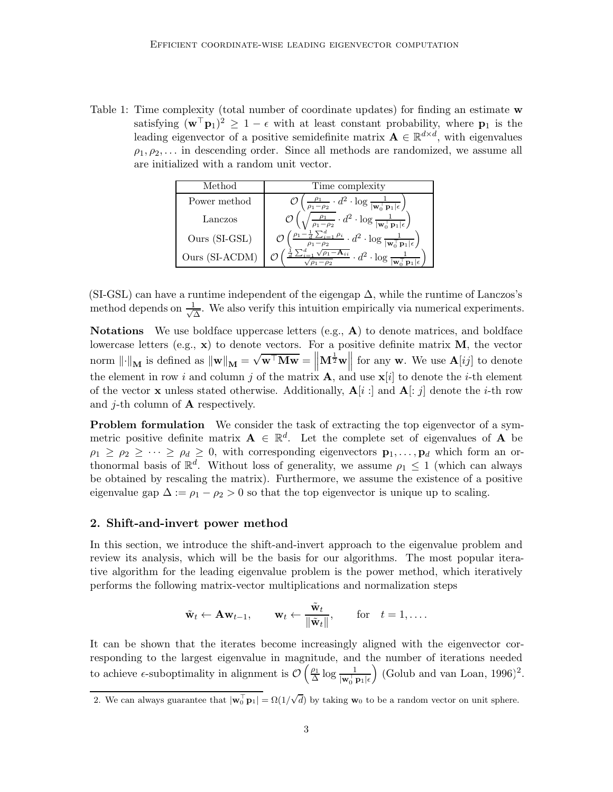<span id="page-2-0"></span>Table 1: Time complexity (total number of coordinate updates) for finding an estimate w satisfying  $(\mathbf{w}^\top \mathbf{p}_1)^2 \geq 1 - \epsilon$  with at least constant probability, where  $\mathbf{p}_1$  is the leading eigenvector of a positive semidefinite matrix  $\mathbf{A} \in \mathbb{R}^{d \times d}$ , with eigenvalues  $\rho_1, \rho_2, \ldots$  in descending order. Since all methods are randomized, we assume all are initialized with a random unit vector.

| Method         | Time complexity                                                                                               |
|----------------|---------------------------------------------------------------------------------------------------------------|
| Power method   | $\cdot d^2 \cdot \log \frac{1}{ \mathbf{w}_0^\top \mathbf{p}_1  \epsilon}$<br>$\sqrt{\rho_1-\rho_2}$          |
| Lanczos        | $\overline{\frac{\rho_1}{\rho_1-\rho_2}}\cdot d^2\cdot \log\frac{1}{ \mathbf{w}_0^\top\mathbf{p}_1 \epsilon}$ |
| Ours (SI-GSL)  | $\frac{1}{d\sum_{i=1}^d \rho_i} \cdot d^2 \cdot \log \frac{1}{ \mathbf{w}_0^{\top} \mathbf{p}_1  \epsilon}$   |
| Ours (SI-ACDM) | $-\overline{\mathbf{A}_{ii}} \cdot d^2 \cdot \log$                                                            |

(SI-GSL) can have a runtime independent of the eigengap  $\Delta$ , while the runtime of Lanczos's method depends on  $\frac{1}{\sqrt{2}}$  $\frac{1}{\Delta}$ . We also verify this intuition empirically via numerical experiments.

**Notations** We use boldface uppercase letters (e.g.,  $\bf{A}$ ) to denote matrices, and boldface lowercase letters (e.g.,  $\mathbf{x}$ ) to denote vectors. For a positive definite matrix **M**, the vector norm  $\left\| \cdot \right\|_{\mathbf{M}}$  is defined as  $\left\| \mathbf{w} \right\|_{\mathbf{M}} = \sqrt{\mathbf{w}^{\top} \mathbf{M} \mathbf{w}} = \left\| \mathbf{w} \right\|_{\mathbf{M}}$  $\mathbf{M}^{\frac{1}{2}}\mathbf{w}$  for any **w**. We use  $\mathbf{A}[ij]$  to denote the element in row i and column j of the matrix  $\mathbf{A}$ , and use  $\mathbf{x}[i]$  to denote the i-th element of the vector **x** unless stated otherwise. Additionally,  $A[i:]$  and  $A[:j]$  denote the *i*-th row and *j*-th column of  $\bf{A}$  respectively.

**Problem formulation** We consider the task of extracting the top eigenvector of a symmetric positive definite matrix  $A \in \mathbb{R}^d$ . Let the complete set of eigenvalues of A be  $\rho_1 \geq \rho_2 \geq \cdots \geq \rho_d \geq 0$ , with corresponding eigenvectors  $\mathbf{p}_1, \ldots, \mathbf{p}_d$  which form an orthonormal basis of  $\mathbb{R}^d$ . Without loss of generality, we assume  $\rho_1 \leq 1$  (which can always be obtained by rescaling the matrix). Furthermore, we assume the existence of a positive eigenvalue gap  $\Delta := \rho_1 - \rho_2 > 0$  so that the top eigenvector is unique up to scaling.

#### 2. Shift-and-invert power method

In this section, we introduce the shift-and-invert approach to the eigenvalue problem and review its analysis, which will be the basis for our algorithms. The most popular iterative algorithm for the leading eigenvalue problem is the power method, which iteratively performs the following matrix-vector multiplications and normalization steps

$$
\tilde{\mathbf{w}}_t \leftarrow \mathbf{A} \mathbf{w}_{t-1}, \qquad \mathbf{w}_t \leftarrow \frac{\tilde{\mathbf{w}}_t}{\|\tilde{\mathbf{w}}_t\|}, \qquad \text{for} \quad t = 1, \ldots.
$$

It can be shown that the iterates become increasingly aligned with the eigenvector corresponding to the largest eigenvalue in magnitude, and the number of iterations needed to achieve  $\epsilon$ -suboptimality in alignment is  $\mathcal{O}\left(\frac{\rho_1}{\Delta}\right)$  $\frac{\rho_1}{\Delta} \log \frac{1}{|\mathbf{w}_0^{\top} \mathbf{p}_1| \epsilon}$  $\big)$  [\(Golub and van Loan, 1996](#page-12-2))<sup>[2](#page-2-1)</sup>.

<span id="page-2-1"></span><sup>2.</sup> We can always guarantee that  $|\mathbf{w}_0^{\top} \mathbf{p}_1| = \Omega(1/\sqrt{d})$  by taking  $\mathbf{w}_0$  to be a random vector on unit sphere.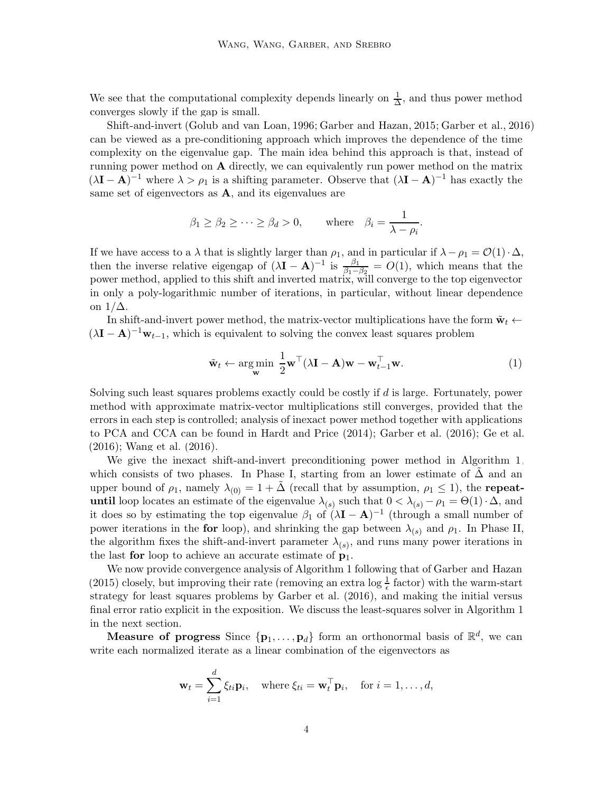We see that the computational complexity depends linearly on  $\frac{1}{\Delta}$  $\frac{1}{\Delta}$ , and thus power method converges slowly if the gap is small.

Shift-and-invert [\(Golub and van Loan, 1996](#page-12-2); [Garber and Hazan](#page-12-4), [2015](#page-12-4); [Garber et al., 2016\)](#page-12-0) can be viewed as a pre-conditioning approach which improves the dependence of the time complexity on the eigenvalue gap. The main idea behind this approach is that, instead of running power method on  $A$  directly, we can equivalently run power method on the matrix  $(\lambda I - A)^{-1}$  where  $\lambda > \rho_1$  is a shifting parameter. Observe that  $(\lambda I - A)^{-1}$  has exactly the same set of eigenvectors as  $A$ , and its eigenvalues are

$$
\beta_1 \geq \beta_2 \geq \cdots \geq \beta_d > 0
$$
, where  $\beta_i = \frac{1}{\lambda - \rho_i}$ .

If we have access to a  $\lambda$  that is slightly larger than  $\rho_1$ , and in particular if  $\lambda - \rho_1 = \mathcal{O}(1) \cdot \Delta$ , then the inverse relative eigengap of  $(\lambda I - A)^{-1}$  is  $\frac{\beta_1}{\beta_1 - \beta_2} = O(1)$ , which means that the power method, applied to this shift and inverted matrix, will converge to the top eigenvector in only a poly-logarithmic number of iterations, in particular, without linear dependence on  $1/\Delta$ .

In shift-and-invert power method, the matrix-vector multiplications have the form  $\tilde{\mathbf{w}}_t \leftarrow$  $(\lambda I - A)^{-1} w_{t-1}$ , which is equivalent to solving the convex least squares problem

<span id="page-3-0"></span>
$$
\tilde{\mathbf{w}}_t \leftarrow \argmin_{\mathbf{w}} \frac{1}{2} \mathbf{w}^\top (\lambda \mathbf{I} - \mathbf{A}) \mathbf{w} - \mathbf{w}_{t-1}^\top \mathbf{w}.
$$
 (1)

Solving such least squares problems exactly could be costly if d is large. Fortunately, power method with approximate matrix-vector multiplications still converges, provided that the errors in each step is controlled; analysis of inexact power method together with applications to PCA and CCA can be found in [Hardt and Price \(2014](#page-12-5)); [Garber et](#page-12-0) al. [\(2016](#page-12-0)); [Ge et al.](#page-12-6) [\(2016](#page-12-6)); [Wang et al. \(2016](#page-13-2)).

We give the inexact shift-and-invert preconditioning power method in Algorithm [1,](#page-4-0) which consists of two phases. In Phase I, starting from an lower estimate of  $\Delta$  and an upper bound of  $\rho_1$ , namely  $\lambda_{(0)} = 1 + \Delta$  (recall that by assumption,  $\rho_1 \leq 1$ ), the **repeat**until loop locates an estimate of the eigenvalue  $\lambda_{(s)}$  such that  $0 < \lambda_{(s)} - \rho_1 = \Theta(1) \cdot \Delta$ , and it does so by estimating the top eigenvalue  $\beta_1$  of  $(\lambda I - A)^{-1}$  (through a small number of power iterations in the for loop), and shrinking the gap between  $\lambda_{(s)}$  and  $\rho_1$ . In Phase II, the algorithm fixes the shift-and-invert parameter  $\lambda_{(s)}$ , and runs many power iterations in the last for loop to achieve an accurate estimate of  $p_1$ .

We now provide convergence analysis of Algorithm [1](#page-4-0) following that of [Garber and Hazan](#page-12-4) [\(2015](#page-12-4)) closely, but improving their rate (removing an extra  $\log \frac{1}{\epsilon}$  factor) with the warm-start strategy for least squares problems by [Garber et al. \(2016](#page-12-0)), and making the initial versus final error ratio explicit in the exposition. We discuss the least-squares solver in Algorithm [1](#page-4-0) in the next section.

Measure of progress Since  $\{p_1, \ldots, p_d\}$  form an orthonormal basis of  $\mathbb{R}^d$ , we can write each normalized iterate as a linear combination of the eigenvectors as

$$
\mathbf{w}_t = \sum_{i=1}^d \xi_{ti} \mathbf{p}_i, \quad \text{where } \xi_{ti} = \mathbf{w}_t^\top \mathbf{p}_i, \quad \text{for } i = 1, \dots, d,
$$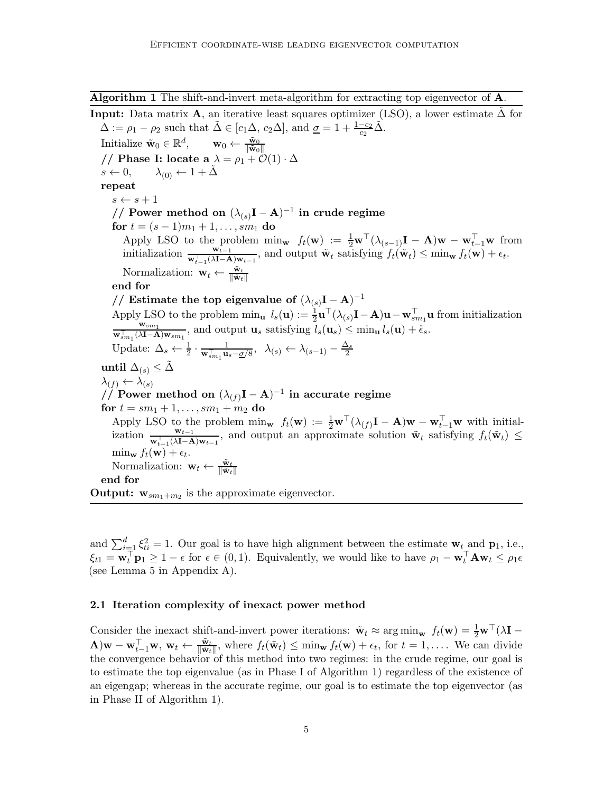<span id="page-4-0"></span>Algorithm 1 The shift-and-invert meta-algorithm for extracting top eigenvector of A.

**Input:** Data matrix **A**, an iterative least squares optimizer (LSO), a lower estimate  $\Delta$  for  $\Delta := \rho_1 - \rho_2$  such that  $\tilde{\Delta} \in [c_1 \Delta, c_2 \Delta],$  and  $\underline{\sigma} = 1 + \frac{1-c_2}{c_2} \tilde{\Delta}.$ 

 $\text{Initialize } \tilde{\mathbf{w}}_0 \in \mathbb{R}^d, \qquad \mathbf{w}_0 \leftarrow \frac{\tilde{\mathbf{w}}_0}{\|\tilde{\mathbf{w}}_0\|}$ // **Phase I:** locate a  $\lambda = \rho_1 + \mathcal{O}(1) \cdot \Delta$ <br> $s \leftarrow 0$ ,  $\lambda_{(0)} \leftarrow 1 + \tilde{\Delta}$  $\lambda_{(0)} \leftarrow 1 + \Delta$ repeat  $s \leftarrow s + 1$ // Power method on  $(\lambda_{(s)}\mathbf{I} - \mathbf{A})^{-1}$  in crude regime for  $t = (s - 1)m_1 + 1, \ldots, sm_1$  do Apply LSO to the problem  $\min_{\mathbf{w}} f_t(\mathbf{w}) := \frac{1}{2} \mathbf{w}^\top (\lambda_{(s-1)} \mathbf{I} - \mathbf{A}) \mathbf{w} - \mathbf{w}_{t-1}^\top \mathbf{w}$  from initialization  $\frac{\mathbf{w}_{t-1}^{\top}}{\mathbf{w}_{t-1}^{\top}(\lambda \mathbf{I}-\mathbf{A})\mathbf{w}_{t-1}}$ , and output  $\tilde{\mathbf{w}}_t$  satisfying  $f_t(\tilde{\mathbf{w}}_t) \leq \min_{\mathbf{w}} f_t(\mathbf{w}) + \epsilon_t$ . Normalization:  $\mathbf{w}_t \leftarrow \frac{\tilde{\mathbf{w}}_t}{\|\tilde{\mathbf{w}}_t\|}$ end for // Estimate the top eigenvalue of  $(\lambda_{(s)}\mathbf{I} - \mathbf{A})^{-1}$ Apply LSO to the problem  $\min_{\mathbf{u}} l_s(\mathbf{u}) := \frac{1}{2} \mathbf{u}^\top (\lambda_{(s)} \mathbf{I} - \mathbf{A}) \mathbf{u} - \mathbf{w}_{sm_1}^\top \mathbf{u}$  from initialization  $\mathbf{w}_{sm_1}$  $\frac{\mathbf{w}_{sm_1}^T}{\mathbf{w}_{sm_1}^T(\lambda \mathbf{I}-\mathbf{A})\mathbf{w}_{sm_1}}$ , and output  $\mathbf{u}_s$  satisfying  $l_s(\mathbf{u}_s) \leq \min_{\mathbf{u}} l_s(\mathbf{u}) + \tilde{\epsilon}_s$ . Update:  $\Delta_s \leftarrow \frac{1}{2} \cdot \frac{1}{\mathbf{w}_{sm_1}^{\top} \mathbf{u}_s - \underline{\sigma}/8}, \quad \lambda_{(s)} \leftarrow \lambda_{(s-1)} - \frac{\Delta_s}{2}$ until  $Δ_{(s)} ≤ Δ$  $\lambda_{(f)} \leftarrow \lambda_{(s)}$  $\big/ \! \big/ \big/ \mathop{\mathrm{Power}}\nolimits$  method on  $(\lambda_{(f)}\mathbf{I}-\mathbf{A})^{-1}$  in accurate regime for  $t = sm_1 + 1, \ldots, sm_1 + m_2$  do Apply LSO to the problem  $\min_{\mathbf{w}} f_t(\mathbf{w}) := \frac{1}{2} \mathbf{w}^\top (\lambda_{(f)} \mathbf{I} - \mathbf{A}) \mathbf{w} - \mathbf{w}_{t-1}^\top \mathbf{w}$  with initialization  $\frac{\mathbf{w}_{t-1}}{\mathbf{w}_{t-1}^{\top}(\lambda \mathbf{I}-\mathbf{A})\mathbf{w}_{t-1}}$ , and output an approximate solution  $\tilde{\mathbf{w}}_t$  satisfying  $f_t(\tilde{\mathbf{w}}_t) \leq$  $\min_{\mathbf{w}} f_t(\mathbf{w}) + \epsilon_t.$ Normalization:  $\mathbf{w}_t \leftarrow \frac{\tilde{\mathbf{w}}_t}{\|\tilde{\mathbf{w}}_t\|}$ end for **Output:**  $\mathbf{w}_{sm_1+m_2}$  is the approximate eigenvector.

and  $\sum_{i=1}^d \xi_{ti}^2 = 1$ . Our goal is to have high alignment between the estimate  $\mathbf{w}_{t}$  and  $\mathbf{p}_1$ , i.e.,  $\xi_{t1} = \mathbf{w}_t^{\top} \mathbf{p}_1 \geq 1 - \epsilon$  for  $\epsilon \in (0, 1)$ . Equivalently, we would like to have  $\rho_1 - \mathbf{w}_t^{\top} \mathbf{A} \mathbf{w}_t \leq \rho_1 \epsilon$ (see Lemma [5](#page-14-1) in Appendix [A\)](#page-14-2).

#### 2.1 Iteration complexity of inexact power method

Consider the inexact shift-and-invert power iterations:  $\tilde{\mathbf{w}}_t \approx \arg \min_{\mathbf{w}} f_t(\mathbf{w}) = \frac{1}{2} \mathbf{w}^\top (\lambda \mathbf{I} - \mathbf{w})$  $\mathbf{A}(\mathbf{w}) = \mathbf{w}_{t-1}^{\top} \mathbf{w}, \mathbf{w}_t \leftarrow \frac{\tilde{\mathbf{w}}_t}{\|\tilde{\mathbf{w}}_t\|}, \text{ where } f_t(\tilde{\mathbf{w}}_t) \leq \min_{\mathbf{w}} f_t(\mathbf{w}) + \epsilon_t, \text{ for } t = 1, \ldots$  We can divide the convergence behavior of this method into two regimes: in the crude regime, our goal is to estimate the top eigenvalue (as in Phase I of Algorithm [1\)](#page-4-0) regardless of the existence of an eigengap; whereas in the accurate regime, our goal is to estimate the top eigenvector (as in Phase II of Algorithm [1\)](#page-4-0).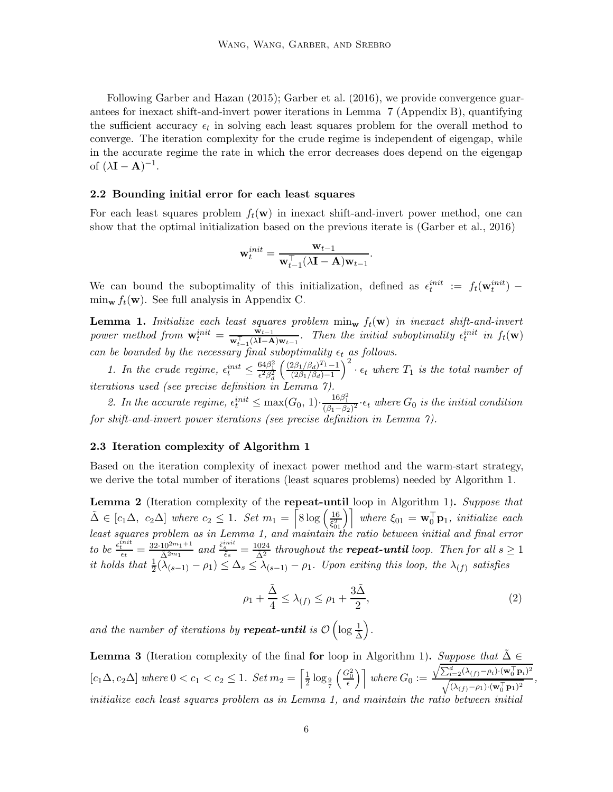Following [Garber and Hazan \(2015](#page-12-4)); [Garber et al. \(2016](#page-12-0)), we provide convergence guarantees for inexact shift-and-invert power iterations in Lemma [7](#page-14-3) (Appendix [B\)](#page-14-0), quantifying the sufficient accuracy  $\epsilon_t$  in solving each least squares problem for the overall method to converge. The iteration complexity for the crude regime is independent of eigengap, while in the accurate regime the rate in which the error decreases does depend on the eigengap of  $(\lambda I - A)^{-1}$ .

#### 2.2 Bounding initial error for each least squares

For each least squares problem  $f_t(\mathbf{w})$  in inexact shift-and-invert power method, one can show that the optimal initialization based on the previous iterate is [\(Garber et al.](#page-12-0), [2016](#page-12-0))

$$
\mathbf{w}_t^{init} = \frac{\mathbf{w}_{t-1}}{\mathbf{w}_{t-1}^{\top}(\lambda \mathbf{I} - \mathbf{A})\mathbf{w}_{t-1}}.
$$

We can bound the suboptimality of this initialization, defined as  $\epsilon_t^{init} := f_t(\mathbf{w}_t^{init})$  $\min_{\mathbf{w}} f_t(\mathbf{w})$ . See full analysis in Appendix [C.](#page-19-0)

<span id="page-5-0"></span>**Lemma 1.** Initialize each least squares problem  $\min_{\mathbf{w}} f_t(\mathbf{w})$  in inexact shift-and-invert power method from  $\mathbf{w}_t^{init} = \frac{\mathbf{w}_{t-1}}{\mathbf{w}_{t-1}^{\top}(\lambda \mathbf{I} - \mathbf{A})\mathbf{w}_{t-1}}$ . Then the initial suboptimality  $\epsilon_t^{init}$  in  $f_t(\mathbf{w})$ can be bounded by the necessary final suboptimality  $\epsilon_t$  as follows.

1. In the crude regime,  $\epsilon_t^{init} \leq \frac{64\beta_1^2}{\epsilon^2 \beta_d^2}$  $\int \frac{(2\beta_1/\beta_d)^{T_1}-1}{(2\beta_1/\beta_d)^{T_1}}$  $(2\beta_1/\beta_d)-1$  $\int_0^2 \cdot \epsilon_t$  where  $T_1$  is the total number of iterations used (see precise definition in Lemma [7\)](#page-14-3).

2. In the accurate regime,  $\epsilon_t^{init} \le \max(G_0, 1) \cdot \frac{16\beta_1^2}{(\beta_1 - \beta_2)^2} \cdot \epsilon_t$  where  $G_0$  is the initial condition for shift-and-invert power iterations (see precise definition in Lemma [7\)](#page-14-3).

#### 2.3 Iteration complexity of Algorithm [1](#page-4-0)

Based on the iteration complexity of inexact power method and the warm-start strategy, we derive the total number of iterations (least squares problems) needed by Algorithm [1.](#page-4-0)

<span id="page-5-1"></span>Lemma 2 (Iteration complexity of the repeat-until loop in Algorithm [1\)](#page-4-0). Suppose that  $\tilde{\Delta} \in [c_1 \Delta, c_2 \Delta]$  where  $c_2 \leq 1$ . Set  $m_1 = \lceil 8 \log \left( \frac{16}{\xi_0^2} \right) \rceil$  $\left[\frac{16}{\xi_{01}^2}\right]$  where  $\xi_{01} = \mathbf{w}_0^{\top} \mathbf{p}_1$ , initialize each least squares problem as in Lemma [1,](#page-5-0) and maintain the ratio between initial and final error to be  $\frac{\epsilon_t^{init}}{\epsilon_t} = \frac{32 \cdot 10^{2m_1+1}}{\tilde{\Delta}^{2m_1}}$  and  $\frac{\tilde{\epsilon}_s^{init}}{\tilde{\epsilon}_s} = \frac{1024}{\tilde{\Delta}^2}$  throughout the **repeat-until** loop. Then for all  $s \ge 1$ it holds that  $\frac{1}{2}(\lambda_{(s-1)} - \rho_1) \leq \Delta_s \leq \lambda_{(s-1)} - \rho_1$ . Upon exiting this loop, the  $\lambda_{(f)}$  satisfies

<span id="page-5-3"></span>
$$
\rho_1 + \frac{\tilde{\Delta}}{4} \le \lambda_{(f)} \le \rho_1 + \frac{3\tilde{\Delta}}{2},\tag{2}
$$

and the number of iterations by **repeat-until** is  $\mathcal{O}\left(\log \frac{1}{\tilde{\Delta}}\right)$ .

<span id="page-5-2"></span>**Lemma 3** (Iteration complexity of the final for loop in Algorithm [1\)](#page-4-0). Suppose that  $\tilde{\Delta} \in$  $[c_1\Delta, c_2\Delta]$  where  $0 < c_1 < c_2 \leq 1$ . Set  $m_2 = \left[\frac{1}{2}\right]$  $rac{1}{2} \log_{\frac{9}{7}}$  $\left(\frac{G_0^2}{\epsilon}\right)$  where  $G_0 := \frac{\sqrt{\sum_{i=2}^d (\lambda_{(f)} - \rho_i) \cdot (\mathbf{w}_0^{\top} \mathbf{p}_i)^2}}{\sqrt{(\lambda_{(f)} - \rho_i) \cdot (\mathbf{w}_0^{\top} \mathbf{p}_i)^2}}$  $\frac{\sqrt{\lambda_{(f)}-\rho_1}\cdot(\mathbf{w}_0^{\top}\mathbf{p}_1)}{\sqrt{(\lambda_{(f)}-\rho_1)\cdot(\mathbf{w}_0^{\top}\mathbf{p}_1)^2}},$ initialize each least squares problem as in Lemma [1,](#page-5-0) and maintain the ratio between initial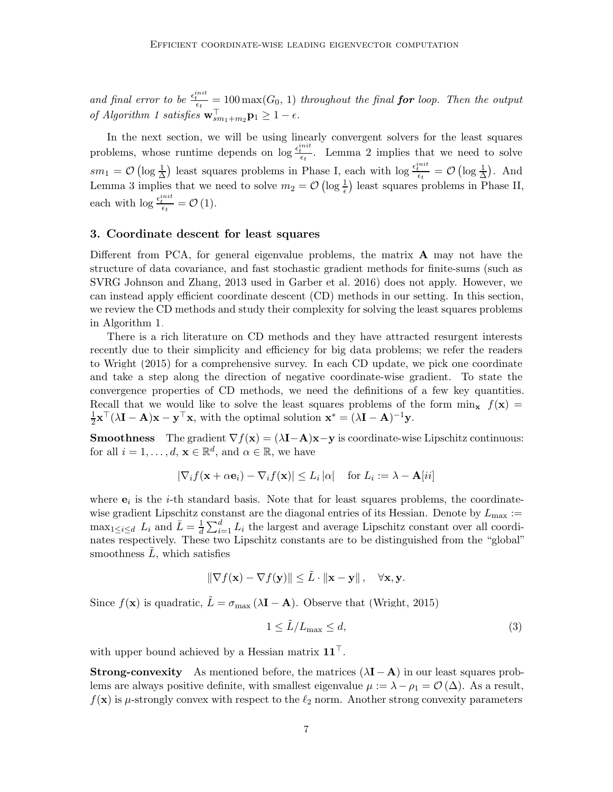and final error to be  $\frac{e^{init}_{tt}}{\epsilon_t} = 100 \max(G_0, 1)$  throughout the final **for** loop. Then the output of Algorithm [1](#page-4-0) satisfies  $\mathbf{w}_{sm_1+m_2}^{\perp} \mathbf{p}_1 \geq 1 - \epsilon$ .

In the next section, we will be using linearly convergent solvers for the least squares problems, whose runtime depends on  $\log \frac{\epsilon_i^{init}}{\epsilon_t}$ . Lemma [2](#page-5-1) implies that we need to solve  $sm_1 = \mathcal{O}\left(\log \frac{1}{\Delta}\right)$  least squares problems in Phase I, each with  $\log \frac{\epsilon_i^{init}}{\epsilon_t} = \mathcal{O}\left(\log \frac{1}{\Delta}\right)$ . And Lemma [3](#page-5-2) implies that we need to solve  $m_2 = \mathcal{O}\left(\log \frac{1}{\epsilon}\right)$  least squares problems in Phase II, each with  $\log \frac{\epsilon_t^{init}}{\epsilon_t} = \mathcal{O}(1)$ .

### 3. Coordinate descent for least squares

Different from PCA, for general eigenvalue problems, the matrix  $\bf{A}$  may not have the structure of data covariance, and fast stochastic gradient methods for finite-sums (such as SVRG [Johnson and Zhang, 2013](#page-12-7) used in [Garber et al. 2016\)](#page-12-0) does not apply. However, we can instead apply efficient coordinate descent (CD) methods in our setting. In this section, we review the CD methods and study their complexity for solving the least squares problems in Algorithm [1.](#page-4-0)

There is a rich literature on CD methods and they have attracted resurgent interests recently due to their simplicity and efficiency for big data problems; we refer the readers to [Wright \(2015](#page-13-1)) for a comprehensive survey. In each CD update, we pick one coordinate and take a step along the direction of negative coordinate-wise gradient. To state the convergence properties of CD methods, we need the definitions of a few key quantities. Recall that we would like to solve the least squares problems of the form  $\min_{\mathbf{x}} f(\mathbf{x}) =$ 1  $\frac{1}{2} \mathbf{x}^{\top} (\lambda \mathbf{I} - \mathbf{A}) \mathbf{x} - \mathbf{y}^{\top} \mathbf{x}$ , with the optimal solution  $\mathbf{x}^* = (\lambda \mathbf{I} - \mathbf{A})^{-1} \mathbf{y}$ .

**Smoothness** The gradient  $\nabla f(\mathbf{x}) = (\lambda \mathbf{I} - \mathbf{A})\mathbf{x} - \mathbf{y}$  is coordinate-wise Lipschitz continuous: for all  $i = 1, ..., d$ ,  $\mathbf{x} \in \mathbb{R}^d$ , and  $\alpha \in \mathbb{R}$ , we have

$$
|\nabla_i f(\mathbf{x} + \alpha \mathbf{e}_i) - \nabla_i f(\mathbf{x})| \le L_i |\alpha| \quad \text{for } L_i := \lambda - \mathbf{A}[ii]
$$

where  $e_i$  is the *i*-th standard basis. Note that for least squares problems, the coordinatewise gradient Lipschitz constanst are the diagonal entries of its Hessian. Denote by  $L_{\text{max}} :=$  $\max_{1 \leq i \leq d} L_i$  and  $\overline{L} = \frac{1}{d}$  $\frac{1}{d} \sum_{i=1}^{d} L_i$  the largest and average Lipschitz constant over all coordinates respectively. These two Lipschitz constants are to be distinguished from the "global" smoothness  $\dot{L}$ , which satisfies

$$
\|\nabla f(\mathbf{x}) - \nabla f(\mathbf{y})\| \leq \tilde{L} \cdot \|\mathbf{x} - \mathbf{y}\|, \quad \forall \mathbf{x}, \mathbf{y}.
$$

Since  $f(\mathbf{x})$  is quadratic,  $\tilde{L} = \sigma_{\text{max}} (\lambda \mathbf{I} - \mathbf{A})$ . Observe that [\(Wright, 2015](#page-13-1))

<span id="page-6-0"></span>
$$
1 \leq \tilde{L}/L_{\text{max}} \leq d,\tag{3}
$$

with upper bound achieved by a Hessian matrix  $\mathbf{11}^\top$ .

**Strong-convexity** As mentioned before, the matrices  $(\lambda I - A)$  in our least squares problems are always positive definite, with smallest eigenvalue  $\mu := \lambda - \rho_1 = \mathcal{O}(\Delta)$ . As a result,  $f(\mathbf{x})$  is  $\mu$ -strongly convex with respect to the  $\ell_2$  norm. Another strong convexity parameters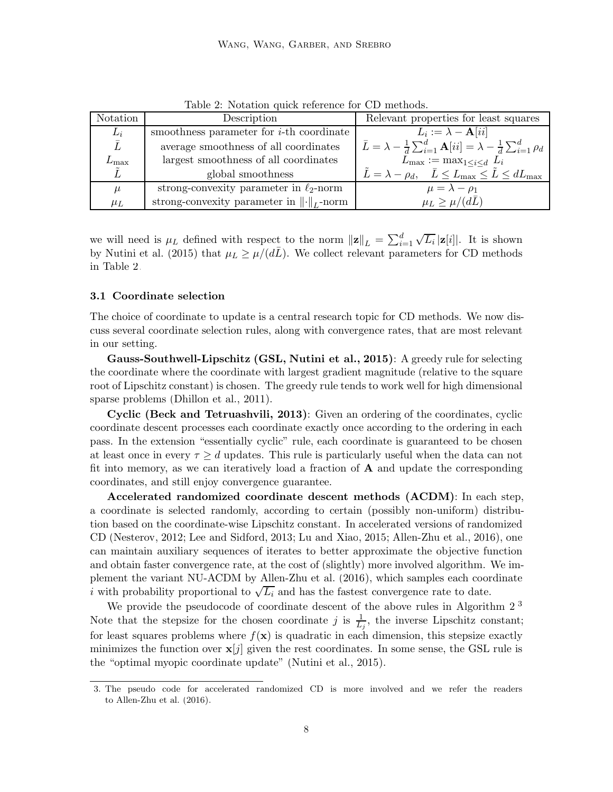| Notation        | Description                                                 | Relevant properties for least squares                                                                     |
|-----------------|-------------------------------------------------------------|-----------------------------------------------------------------------------------------------------------|
| $L_i$           | smoothness parameter for <i>i</i> -th coordinate            | $L_i := \lambda - \mathbf{A}[ii]$                                                                         |
| $\bar{L}$       | average smoothness of all coordinates                       | $\bar{L} = \lambda - \frac{1}{d} \sum_{i=1}^d \mathbf{A}[ii] = \lambda - \frac{1}{d} \sum_{i=1}^d \rho_d$ |
| $\rm \nu_{max}$ | largest smoothness of all coordinates                       | $L_{\text{max}} := \max_{1 \leq i \leq d} L_i$                                                            |
|                 | global smoothness                                           | $\tilde{L} = \lambda - \rho_d, \quad \bar{L} \le L_{\text{max}} \le \tilde{L} \le dL_{\text{max}}$        |
| $\mu$           | strong-convexity parameter in $\ell_2$ -norm                | $\mu = \lambda - \rho_1$                                                                                  |
| $\mu_L$         | strong-convexity parameter in $\lVert \cdot \rVert_L$ -norm | $\mu_L \geq \mu/(d\bar{L})$                                                                               |

<span id="page-7-0"></span>Table 2: Notation quick reference for CD methods.

we will need is  $\mu_L$  defined with respect to the norm  $||\mathbf{z}||_L = \sum_{i=1}^d \sqrt{L_i} |\mathbf{z}[i]|$ . It is shown by [Nutini et al. \(2015](#page-13-3)) that  $\mu_L \geq \mu/(d\bar{L})$ . We collect relevant parameters for CD methods in Table [2.](#page-7-0)

### 3.1 Coordinate selection

The choice of coordinate to update is a central research topic for CD methods. We now discuss several coordinate selection rules, along with convergence rates, that are most relevant in our setting.

Gauss-Southwell-Lipschitz (GSL, [Nutini et al., 2015](#page-13-3)): A greedy rule for selecting the coordinate where the coordinate with largest gradient magnitude (relative to the square root of Lipschitz constant) is chosen. The greedy rule tends to work well for high dimensional sparse problems [\(Dhillon et al., 2011](#page-12-8)).

Cyclic [\(Beck and Tetruashvili, 2013](#page-12-9)): Given an ordering of the coordinates, cyclic coordinate descent processes each coordinate exactly once according to the ordering in each pass. In the extension "essentially cyclic" rule, each coordinate is guaranteed to be chosen at least once in every  $\tau \geq d$  updates. This rule is particularly useful when the data can not fit into memory, as we can iteratively load a fraction of  $A$  and update the corresponding coordinates, and still enjoy convergence guarantee.

Accelerated randomized coordinate descent methods (ACDM): In each step, a coordinate is selected randomly, according to certain (possibly non-uniform) distribution based on the coordinate-wise Lipschitz constant. In accelerated versions of randomized CD [\(Nesterov](#page-13-4), [2012;](#page-13-4) [Lee and Sidford, 2013](#page-12-10); [Lu and Xiao](#page-12-11), [2015](#page-12-11); [Allen-Zhu et al.](#page-12-12), [2016](#page-12-12)), one can maintain auxiliary sequences of iterates to better approximate the objective function and obtain faster convergence rate, at the cost of (slightly) more involved algorithm. We implement the variant NU-ACDM by [Allen-Zhu et al. \(2016](#page-12-12)), which samples each coordinate i with probability proportional to  $\sqrt{L_i}$  and has the fastest convergence rate to date.

We provide the pseudocode of coordinate descent of the above rules in Algorithm [2.](#page-8-0)<sup>[3](#page-7-1)</sup> Note that the stepsize for the chosen coordinate j is  $\frac{1}{L_j}$ , the inverse Lipschitz constant; for least squares problems where  $f(\mathbf{x})$  is quadratic in each dimension, this stepsize exactly minimizes the function over  $\mathbf{x}[j]$  given the rest coordinates. In some sense, the GSL rule is the "optimal myopic coordinate update" [\(Nutini et al.](#page-13-3), [2015](#page-13-3)).

<span id="page-7-1"></span><sup>3.</sup> The pseudo code for accelerated randomized CD is more involved and we refer the readers to [Allen-Zhu et al. \(2016\)](#page-12-12).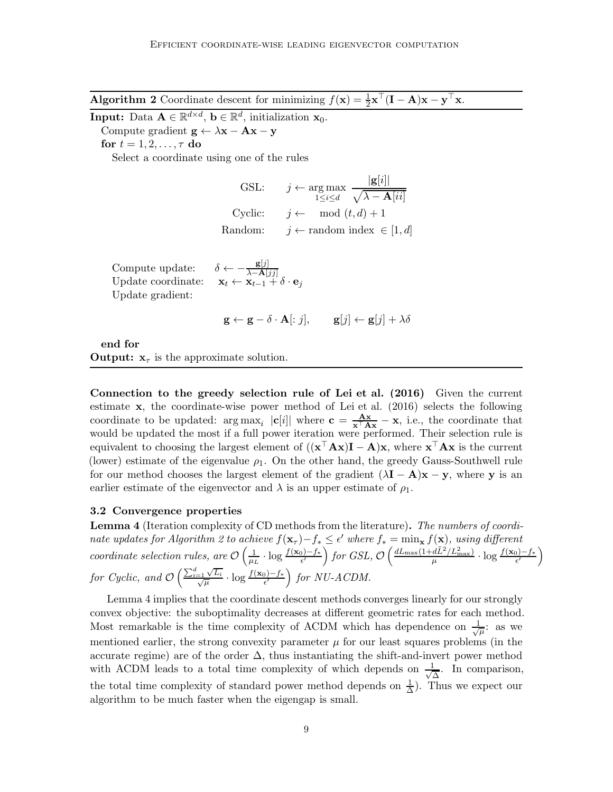<span id="page-8-0"></span>Algorithm 2 Coordinate descent for minimizing  $f(\mathbf{x}) = \frac{1}{2}\mathbf{x}^\top (\mathbf{I} - \mathbf{A})\mathbf{x} - \mathbf{y}^\top \mathbf{x}$ .

**Input:** Data  $\mathbf{A} \in \mathbb{R}^{d \times d}$ ,  $\mathbf{b} \in \mathbb{R}^{d}$ , initialization  $\mathbf{x}_0$ .

Compute gradient  $\mathbf{g} \leftarrow \lambda \mathbf{x} - \mathbf{A}\mathbf{x} - \mathbf{y}$ 

for  $t = 1, 2, \ldots, \tau$  do

Select a coordinate using one of the rules

GSL: 
$$
j \leftarrow \arg \max_{1 \leq i \leq d} \frac{|\mathbf{g}[i]|}{\sqrt{\lambda - \mathbf{A}[ii]}}
$$
  
\nCyclic:  $j \leftarrow \mod(t, d) + 1$   
\nRandom:  $j \leftarrow \text{random index} \in [1, d]$ 

Compute update:  $\delta \leftarrow -\frac{\mathbf{g}[j]}{\lambda - \mathbf{A}[jj]}$ <br>Update coordinate:  $\mathbf{x}_t \leftarrow \mathbf{x}_{t-1} + \delta \cdot \mathbf{e}_j$ Update gradient:

$$
\mathbf{g} \leftarrow \mathbf{g} - \delta \cdot \mathbf{A}[:j], \qquad \mathbf{g}[j] \leftarrow \mathbf{g}[j] + \lambda \delta
$$

end for **Output:**  $x_{\tau}$  is the approximate solution.

Connection to the greedy selection rule of [Lei et al. \(2016](#page-12-3)) Given the current estimate x, the coordinate-wise power method of [Lei et al. \(2016](#page-12-3)) selects the following coordinate to be updated:  $\arg \max_i |c[i]|$  where  $c = \frac{Ax}{x^\top Ax} - x$ , i.e., the coordinate that would be updated the most if a full power iteration were performed. Their selection rule is equivalent to choosing the largest element of  $((\mathbf{x}^\top \mathbf{A} \mathbf{x})\mathbf{I} - \mathbf{A})\mathbf{x}$ , where  $\mathbf{x}^\top \mathbf{A} \mathbf{x}$  is the current (lower) estimate of the eigenvalue  $\rho_1$ . On the other hand, the greedy Gauss-Southwell rule for our method chooses the largest element of the gradient  $(\lambda I - A)x - y$ , where y is an earlier estimate of the eigenvector and  $\lambda$  is an upper estimate of  $\rho_1$ .

### 3.2 Convergence properties

<span id="page-8-1"></span>**Lemma 4** (Iteration complexity of CD methods from the literature). The numbers of coordi-nate updates for Algorithm [2](#page-8-0) to achieve  $f(\mathbf{x}_{\tau})-f_{*} \leq \epsilon'$  where  $f_{*} = \min_{\mathbf{x}} f(\mathbf{x})$ , using different coordinate selection rules, are  $\mathcal{O}\left(\frac{1}{\mu_1}\right)$  $\frac{1}{\mu_L}$  ⋅ log  $\frac{f(\mathbf{x}_0)-f_*}{\epsilon'}$  for GSL,  $\mathcal{O}\left(\frac{dL_{\max}(1+d\tilde{L}^2/L_{\max}^2)}{\mu} \cdot \log \frac{f(\mathbf{x}_0)-f_*}{\epsilon'}\right)$ for Cyclic, and  $\mathcal{O}\left(\frac{\sum_{i=1}^d \sqrt{\mu}}{\sqrt{\mu}}\right)$  $\frac{-1}{\sqrt{\mu}}\frac{\sqrt{L_i}}{\sqrt{L_i}}$  $\frac{\sqrt{L_i}}{\overline{\mu}} \cdot \log \frac{f(\mathbf{x}_0)-f_*}{\epsilon'}\right)$  for NU-ACDM.

Lemma [4](#page-8-1) implies that the coordinate descent methods converges linearly for our strongly convex objective: the suboptimality decreases at different geometric rates for each method. Most remarkable is the time complexity of ACDM which has dependence on  $\frac{1}{\sqrt{2}}$  $\frac{1}{\overline{\mu}}$ : as we mentioned earlier, the strong convexity parameter  $\mu$  for our least squares problems (in the accurate regime) are of the order  $\Delta$ , thus instantiating the shift-and-invert power method with ACDM leads to a total time complexity of which depends on  $\frac{1}{\sqrt{2}}$  $\frac{1}{\Delta}$ . In comparison, the total time complexity of standard power method depends on  $\frac{1}{\Delta}$  $\frac{1}{\Delta}$ ). Thus we expect our algorithm to be much faster when the eigengap is small.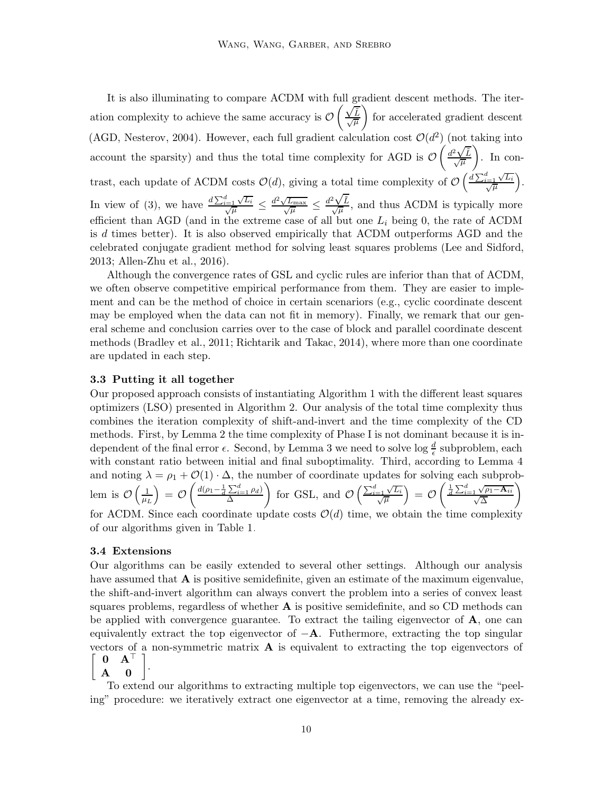It is also illuminating to compare ACDM with full gradient descent methods. The iteration complexity to achieve the same accuracy is  $\mathcal O$  $\left(\frac{\sqrt{\tilde{L}}}{\sqrt{\mu}}\right)$ for accelerated gradient descent (AGD, [Nesterov, 2004\)](#page-13-5). However, each full gradient calculation cost  $\mathcal{O}(d^2)$  (not taking into  $\alpha$  account the sparsity) and thus the total time complexity for AGD is  $\mathcal{O}\left(\frac{d^2\sqrt{L}}{\sqrt{\mu}}\right)$  $\bigg)$ . In contrast, each update of ACDM costs  $\mathcal{O}(d)$ , giving a total time complexity of  $\mathcal{O}\left(\frac{d\sum_{i=1}^{d}\sqrt{d}}{\sqrt{\mu}}\right)$  $\frac{L_{i=1}^{i} \sqrt{L_i}}{\sqrt{\mu}}$  $\frac{1}{\mu} \frac{\sqrt{L_i}}{\mu}$ . In view of [\(3\)](#page-6-0), we have  $\frac{d\sum_{i=1}^{d} \sqrt{d}}{\sqrt{d}}$  $\frac{d}{d\sqrt{\mu}} \frac{\sqrt{L_i}}{\sqrt{\mu}} \leq \frac{d^2\sqrt{2L_i}}{\sqrt{2L_i}}$  $\sqrt{\frac{L_{\text{max}}}{\sqrt{\mu}}} \leq \frac{d^2\sqrt{\tilde{L}}}{\sqrt{\mu}}$ , and thus ACDM is typically more efficient than AGD (and in the extreme case of all but one  $L_i$  being 0, the rate of ACDM is d times better). It is also observed empirically that ACDM outperforms AGD and the celebrated conjugate gradient method for solving least squares problems [\(Lee and Sidford,](#page-12-10) [2013](#page-12-10); [Allen-Zhu et al.](#page-12-12), [2016\)](#page-12-12).

Although the convergence rates of GSL and cyclic rules are inferior than that of ACDM, we often observe competitive empirical performance from them. They are easier to implement and can be the method of choice in certain scenariors (e.g., cyclic coordinate descent may be employed when the data can not fit in memory). Finally, we remark that our general scheme and conclusion carries over to the case of block and parallel coordinate descent methods [\(Bradley et al.](#page-12-13), [2011](#page-12-13); [Richtarik and Takac, 2014](#page-13-6)), where more than one coordinate are updated in each step.

#### 3.3 Putting it all together

Our proposed approach consists of instantiating Algorithm 1 with the different least squares optimizers (LSO) presented in Algorithm 2. Our analysis of the total time complexity thus combines the iteration complexity of shift-and-invert and the time complexity of the CD methods. First, by Lemma [2](#page-5-1) the time complexity of Phase I is not dominant because it is independent of the final error  $\epsilon$ . Second, by Lemma [3](#page-5-2) we need to solve log  $\frac{d}{\epsilon}$  subproblem, each with constant ratio between initial and final suboptimality. Third, according to Lemma [4](#page-8-1) and noting  $\lambda = \rho_1 + \mathcal{O}(1) \cdot \Delta$ , the number of coordinate updates for solving each subproblem is  $\mathcal{O}\left(\frac{1}{\mu}\right)$  $\left(\frac{1}{\mu_L}\right) \,=\, \mathcal{O}\left(\frac{\mathit{d}(\rho_1-\frac{1}{d}\sum_{i=1}^d \rho_d)}{\Delta}\right)$ ∆ for GSL, and  $\mathcal{O}\left(\frac{\sum_{i=1}^{d} \sqrt{\mu}}{\sqrt{\mu}}\right)$  $\frac{-1}{\sqrt{\mu}}\frac{\sqrt{L_i}}{L}$  $\left(\frac{\sqrt{L_i}}{\overline{\mu}}\right)\,=\,\mathcal{O}\left(\frac{\frac{1}{d}\sum_{i=1}^d\sqrt{\rho_1-\mathbf{A}_{ii}}}{\sqrt{\Delta}}\right)$  $\setminus$ for ACDM. Since each coordinate update costs  $\mathcal{O}(d)$  time, we obtain the time complexity of our algorithms given in Table [1.](#page-2-0)

#### 3.4 Extensions

Our algorithms can be easily extended to several other settings. Although our analysis have assumed that  $\bf{A}$  is positive semidefinite, given an estimate of the maximum eigenvalue, the shift-and-invert algorithm can always convert the problem into a series of convex least squares problems, regardless of whether  $A$  is positive semidefinite, and so CD methods can be applied with convergence guarantee. To extract the tailing eigenvector of  $\bf{A}$ , one can equivalently extract the top eigenvector of  $-A$ . Futhermore, extracting the top singular vectors of a non-symmetric matrix  $\bf{A}$  is equivalent to extracting the top eigenvectors of .

 $\left[ \begin{array}{cc} 0 & \mathbf{A}^{\top} \ \mathbf{A} & \mathbf{0} \end{array} \right]$ 

To extend our algorithms to extracting multiple top eigenvectors, we can use the "peeling" procedure: we iteratively extract one eigenvector at a time, removing the already ex-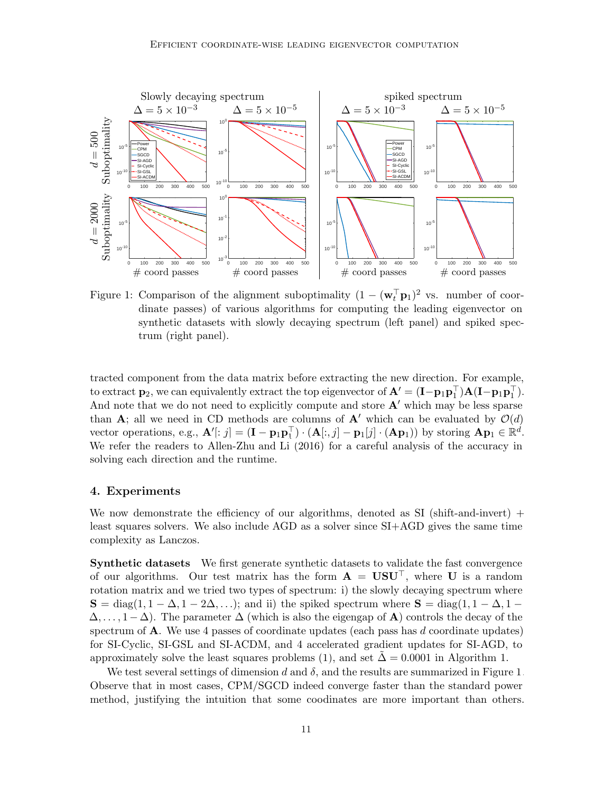

<span id="page-10-0"></span>Figure 1: Comparison of the alignment suboptimality  $(1 - (\mathbf{w}_t^{\top} \mathbf{p}_1)^2)$  vs. number of coordinate passes) of various algorithms for computing the leading eigenvector on synthetic datasets with slowly decaying spectrum (left panel) and spiked spectrum (right panel).

tracted component from the data matrix before extracting the new direction. For example, to extract  $\mathbf{p}_2$ , we can equivalently extract the top eigenvector of  $\mathbf{A}' = (\mathbf{I} - \mathbf{p}_1 \mathbf{p}_1^{\top}) \mathbf{A} (\mathbf{I} - \mathbf{p}_1 \mathbf{p}_1^{\top})$ . And note that we do not need to explicitly compute and store  $A'$  which may be less sparse than A; all we need in CD methods are columns of A' which can be evaluated by  $\mathcal{O}(d)$ vector operations, e.g.,  $\mathbf{A}'[:j] = (\mathbf{I} - \mathbf{p}_1 \mathbf{p}_1^{\top}) \cdot (\mathbf{A}[:,j] - \mathbf{p}_1[j] \cdot (\mathbf{A}\mathbf{p}_1))$  by storing  $\mathbf{A}\mathbf{p}_1 \in \mathbb{R}^d$ . We refer the readers to [Allen-Zhu and Li \(2016\)](#page-12-1) for a careful analysis of the accuracy in solving each direction and the runtime.

#### 4. Experiments

We now demonstrate the efficiency of our algorithms, denoted as  $SI$  (shift-and-invert) + least squares solvers. We also include AGD as a solver since SI+AGD gives the same time complexity as Lanczos.

Synthetic datasets We first generate synthetic datasets to validate the fast convergence of our algorithms. Our test matrix has the form  $\mathbf{A} = \mathbf{U} \mathbf{S} \mathbf{U}^{\top}$ , where U is a random rotation matrix and we tried two types of spectrum: i) the slowly decaying spectrum where  $S = diag(1, 1 - \Delta, 1 - 2\Delta, \ldots)$ ; and ii) the spiked spectrum where  $S = diag(1, 1 - \Delta, 1 - \Delta, \ldots)$  $\Delta, \ldots, 1-\Delta$ ). The parameter  $\Delta$  (which is also the eigengap of **A**) controls the decay of the spectrum of  $\bf{A}$ . We use 4 passes of coordinate updates (each pass has d coordinate updates) for SI-Cyclic, SI-GSL and SI-ACDM, and 4 accelerated gradient updates for SI-AGD, to approximately solve the least squares problems [\(1\)](#page-3-0), and set  $\Delta = 0.0001$  in Algorithm 1.

We test several settings of dimension d and  $\delta$ , and the results are summarized in Figure [1.](#page-10-0) Observe that in most cases, CPM/SGCD indeed converge faster than the standard power method, justifying the intuition that some coodinates are more important than others.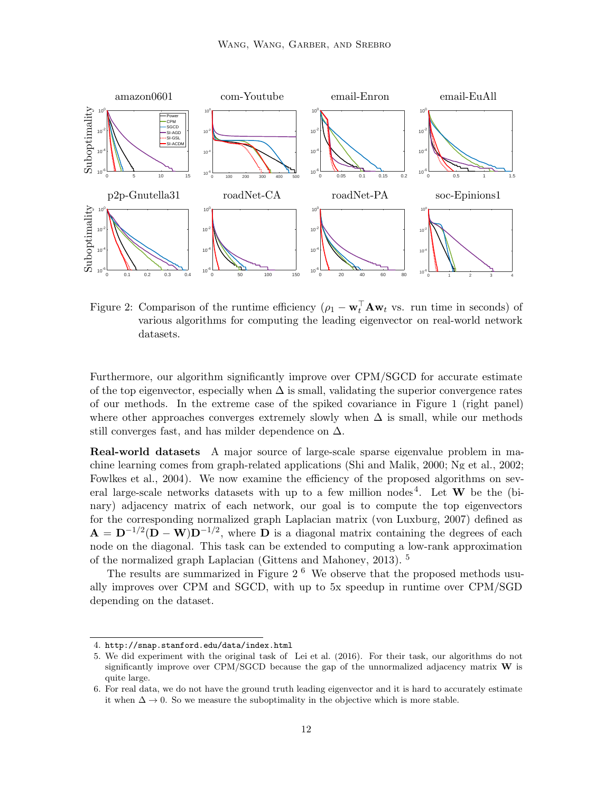

<span id="page-11-2"></span>Figure 2: Comparison of the runtime efficiency  $(\rho_1 - \mathbf{w}_t^{\top} \mathbf{A} \mathbf{w}_t)$  vs. run time in seconds) of various algorithms for computing the leading eigenvector on real-world network datasets.

Furthermore, our algorithm significantly improve over CPM/SGCD for accurate estimate of the top eigenvector, especially when  $\Delta$  is small, validating the superior convergence rates of our methods. In the extreme case of the spiked covariance in Figure [1](#page-10-0) (right panel) where other approaches converges extremely slowly when  $\Delta$  is small, while our methods still converges fast, and has milder dependence on  $\Delta$ .

Real-world datasets A major source of large-scale sparse eigenvalue problem in machine learning comes from graph-related applications (Shi [and Malik](#page-13-7), [2000](#page-13-7); [Ng et al.](#page-13-8), [2002](#page-13-8); [Fowlkes et al., 2004](#page-12-14)). We now examine the efficiency of the proposed algorithms on sev-eral large-scale networks datasets with up to a few million nodes<sup>[4](#page-11-0)</sup>. Let **W** be the (binary) adjacency matrix of each network, our goal is to compute the top eigenvectors for the corresponding normalized graph Laplacian matrix [\(von Luxburg, 2007](#page-13-9)) defined as  $\mathbf{A} = \mathbf{D}^{-1/2}(\mathbf{D} - \mathbf{W})\mathbf{D}^{-1/2}$ , where  $\mathbf{D}$  is a diagonal matrix containing the degrees of each node on the diagonal. This task can be extended to computing a low-rank approximation of the normalized graph Laplacian [\(Gittens and Mahoney, 2013](#page-12-15)).<sup>[5](#page-11-1)</sup>

The results are summarized in Figure  $2<sup>6</sup>$  $2<sup>6</sup>$  $2<sup>6</sup>$  We observe that the proposed methods usually improves over CPM and SGCD, with up to 5x speedup in runtime over CPM/SGD depending on the dataset.

<sup>4.</sup> <http://snap.stanford.edu/data/index.html>

<span id="page-11-1"></span><span id="page-11-0"></span><sup>5.</sup> We did experiment with the original task of [Lei et al. \(2016](#page-12-3)). For their task, our algorithms do not significantly improve over CPM/SGCD because the gap of the unnormalized adjacency matrix  $W$  is quite large.

<span id="page-11-3"></span><sup>6.</sup> For real data, we do not have the ground truth leading eigenvector and it is hard to accurately estimate it when  $\Delta \to 0$ . So we measure the suboptimality in the objective which is more stable.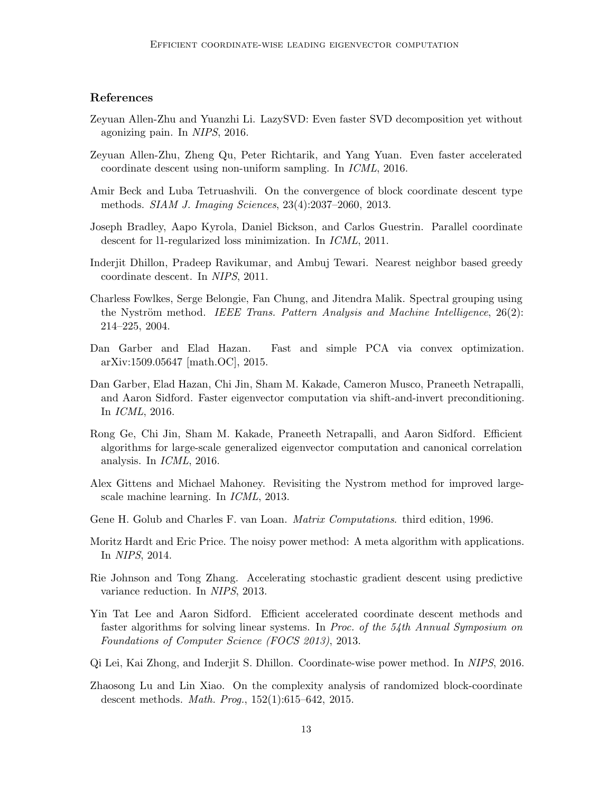# References

- <span id="page-12-1"></span>Zeyuan Allen-Zhu and Yuanzhi Li. LazySVD: Even faster SVD decomposition yet without agonizing pain. In NIPS, 2016.
- <span id="page-12-12"></span>Zeyuan Allen-Zhu, Zheng Qu, Peter Richtarik, and Yang Yuan. Even faster accelerated coordinate descent using non-uniform sampling. In ICML, 2016.
- <span id="page-12-9"></span>Amir Beck and Luba Tetruashvili. On the convergence of block coordinate descent type methods. SIAM J. Imaging Sciences, 23(4):2037–2060, 2013.
- <span id="page-12-13"></span>Joseph Bradley, Aapo Kyrola, Daniel Bickson, and Carlos Guestrin. Parallel coordinate descent for l1-regularized loss minimization. In ICML, 2011.
- <span id="page-12-8"></span>Inderjit Dhillon, Pradeep Ravikumar, and Ambuj Tewari. Nearest neighbor based greedy coordinate descent. In NIPS, 2011.
- <span id="page-12-14"></span>Charless Fowlkes, Serge Belongie, Fan Chung, and Jitendra Malik. Spectral grouping using the Nyström method. IEEE Trans. Pattern Analysis and Machine Intelligence,  $26(2)$ : 214–225, 2004.
- <span id="page-12-4"></span>Dan Garber and Elad Hazan. Fast and simple PCA via convex optimization. arXiv:1509.05647 [math.OC], 2015.
- <span id="page-12-0"></span>Dan Garber, Elad Hazan, Chi Jin, Sham M. Kakade, Cameron Musco, Praneeth Netrapalli, and Aaron Sidford. Faster eigenvector computation via shift-and-invert preconditioning. In ICML, 2016.
- <span id="page-12-6"></span>Rong Ge, Chi Jin, Sham M. Kakade, Praneeth Netrapalli, and Aaron Sidford. Efficient algorithms for large-scale generalized eigenvector computation and canonical correlation analysis. In ICML, 2016.
- <span id="page-12-15"></span>Alex Gittens and Michael Mahoney. Revisiting the Nystrom method for improved largescale machine learning. In ICML, 2013.
- <span id="page-12-2"></span>Gene H. Golub and Charles F. van Loan. Matrix Computations. third edition, 1996.
- <span id="page-12-5"></span>Moritz Hardt and Eric Price. The noisy power method: A meta algorithm with applications. In NIPS, 2014.
- <span id="page-12-7"></span>Rie Johnson and Tong Zhang. Accelerating stochastic gradient descent using predictive variance reduction. In NIPS, 2013.
- <span id="page-12-10"></span>Yin Tat Lee and Aaron Sidford. Efficient accelerated coordinate descent methods and faster algorithms for solving linear systems. In Proc. of the 54th Annual Symposium on Foundations of Computer Science (FOCS 2013), 2013.
- <span id="page-12-3"></span>Qi Lei, Kai Zhong, and Inderjit S. Dhillon. Coordinate-wise power method. In NIPS, 2016.
- <span id="page-12-11"></span>Zhaosong Lu and Lin Xiao. On the complexity analysis of randomized block-coordinate descent methods. Math. Prog., 152(1):615–642, 2015.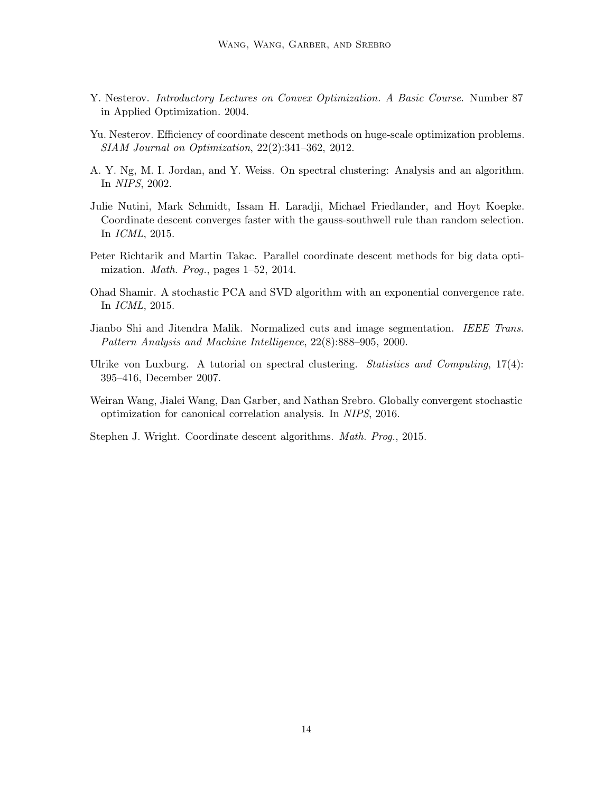- <span id="page-13-5"></span>Y. Nesterov. *Introductory Lectures on Convex Optimization. A Basic Course*. Number 87 in Applied Optimization. 2004.
- <span id="page-13-4"></span>Yu. Nesterov. Efficiency of coordinate descent methods on huge-scale optimization problems. SIAM Journal on Optimization, 22(2):341–362, 2012.
- <span id="page-13-8"></span>A. Y. Ng, M. I. Jordan, and Y. Weiss. On spectral clustering: Analysis and an algorithm. In NIPS, 2002.
- <span id="page-13-3"></span>Julie Nutini, Mark Schmidt, Issam H. Laradji, Michael Friedlander, and Hoyt Koepke. Coordinate descent converges faster with the gauss-southwell rule than random selection. In ICML, 2015.
- <span id="page-13-6"></span>Peter Richtarik and Martin Takac. Parallel coordinate descent methods for big data optimization. Math. Prog., pages 1–52, 2014.
- <span id="page-13-0"></span>Ohad Shamir. A stochastic PCA and SVD algorithm with an exponential convergence rate. In ICML, 2015.
- <span id="page-13-7"></span>Jianbo Shi and Jitendra Malik. Normalized cuts and image segmentation. IEEE Trans. Pattern Analysis and Machine Intelligence, 22(8):888–905, 2000.
- <span id="page-13-9"></span>Ulrike von Luxburg. A tutorial on spectral clustering. Statistics and Computing,  $17(4)$ : 395–416, December 2007.
- <span id="page-13-2"></span>Weiran Wang, Jialei Wang, Dan Garber, and Nathan Srebro. Globally convergent stochastic optimization for canonical correlation analysis. In NIPS, 2016.

<span id="page-13-1"></span>Stephen J. Wright. Coordinate descent algorithms. Math. Prog., 2015.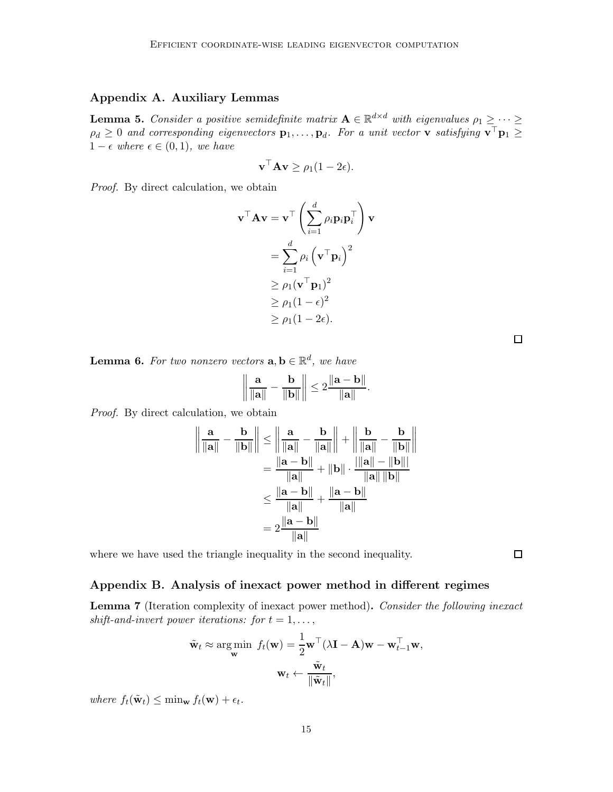# <span id="page-14-2"></span>Appendix A. Auxiliary Lemmas

<span id="page-14-1"></span>**Lemma 5.** Consider a positive semidefinite matrix  $A \in \mathbb{R}^{d \times d}$  with eigenvalues  $\rho_1 \geq \cdots \geq$  $\rho_d \geq 0$  and corresponding eigenvectors  $\mathbf{p}_1,\ldots,\mathbf{p}_d$ . For a unit vector **v** satisfying  $\mathbf{v}^\top \mathbf{p}_1 \geq$  $1 - \epsilon$  where  $\epsilon \in (0, 1)$ , we have

$$
\mathbf{v}^\top \mathbf{A} \mathbf{v} \ge \rho_1 (1 - 2\epsilon).
$$

Proof. By direct calculation, we obtain

$$
\mathbf{v}^{\top} \mathbf{A} \mathbf{v} = \mathbf{v}^{\top} \left( \sum_{i=1}^{d} \rho_{i} \mathbf{p}_{i} \mathbf{p}_{i}^{\top} \right) \mathbf{v}
$$

$$
= \sum_{i=1}^{d} \rho_{i} \left( \mathbf{v}^{\top} \mathbf{p}_{i} \right)^{2}
$$

$$
\geq \rho_{1} (\mathbf{v}^{\top} \mathbf{p}_{1})^{2}
$$

$$
\geq \rho_{1} (1 - \epsilon)^{2}
$$

$$
\geq \rho_{1} (1 - 2\epsilon).
$$

 $\Box$ 

<span id="page-14-4"></span>**Lemma 6.** For two nonzero vectors  $\mathbf{a}, \mathbf{b} \in \mathbb{R}^d$ , we have

$$
\left\| \frac{\mathbf{a}}{\|\mathbf{a}\|} - \frac{\mathbf{b}}{\|\mathbf{b}\|} \right\| \leq 2 \frac{\|\mathbf{a} - \mathbf{b}\|}{\|\mathbf{a}\|}.
$$

Proof. By direct calculation, we obtain

$$
\left\| \frac{\mathbf{a}}{\|\mathbf{a}\|} - \frac{\mathbf{b}}{\|\mathbf{b}\|} \right\| \le \left\| \frac{\mathbf{a}}{\|\mathbf{a}\|} - \frac{\mathbf{b}}{\|\mathbf{a}\|} \right\| + \left\| \frac{\mathbf{b}}{\|\mathbf{a}\|} - \frac{\mathbf{b}}{\|\mathbf{b}\|} \right\|
$$

$$
= \frac{\|\mathbf{a} - \mathbf{b}\|}{\|\mathbf{a}\|} + \|\mathbf{b}\| \cdot \frac{\|\mathbf{a}\| - \|\mathbf{b}\|}{\|\mathbf{a}\| \|\mathbf{b}\|}
$$

$$
\le \frac{\|\mathbf{a} - \mathbf{b}\|}{\|\mathbf{a}\|} + \frac{\|\mathbf{a} - \mathbf{b}\|}{\|\mathbf{a}\|}
$$

$$
= 2 \frac{\|\mathbf{a} - \mathbf{b}\|}{\|\mathbf{a}\|}
$$

where we have used the triangle inequality in the second inequality.

# <span id="page-14-0"></span>Appendix B. Analysis of inexact power method in different regimes

<span id="page-14-3"></span>Lemma 7 (Iteration complexity of inexact power method). Consider the following inexact shift-and-invert power iterations: for  $t = 1, \ldots$ ,

$$
\tilde{\mathbf{w}}_t \approx \argmin_{\mathbf{w}} f_t(\mathbf{w}) = \frac{1}{2} \mathbf{w}^\top (\lambda \mathbf{I} - \mathbf{A}) \mathbf{w} - \mathbf{w}_{t-1}^\top \mathbf{w},
$$

$$
\mathbf{w}_t \leftarrow \frac{\tilde{\mathbf{w}}_t}{\|\tilde{\mathbf{w}}_t\|},
$$

where  $f_t(\tilde{\mathbf{w}}_t) \leq \min_{\mathbf{w}} f_t(\mathbf{w}) + \epsilon_t$ .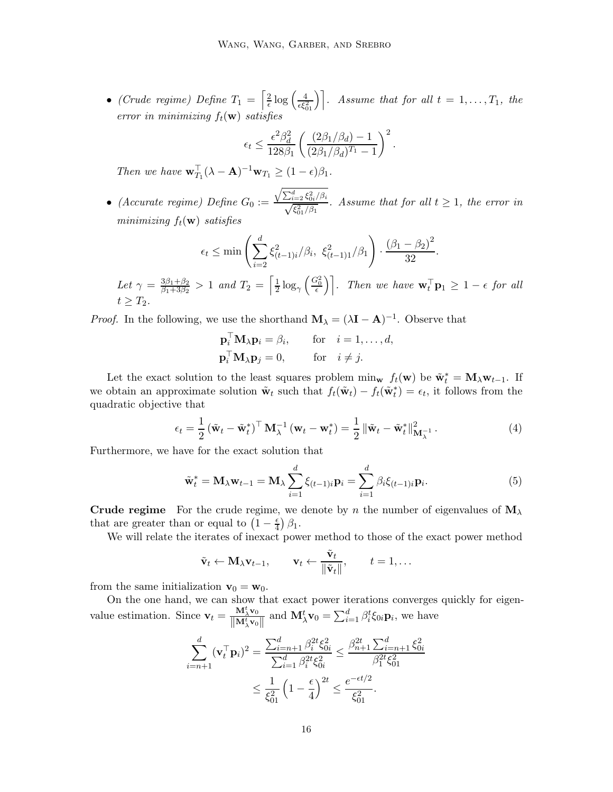• (Crude regime) Define  $T_1 = \left[\frac{2}{\epsilon}\right]$  $\frac{2}{\epsilon} \log \left( \frac{4}{\epsilon \xi_{01}^2} \right)$ . Assume that for all  $t = 1, \ldots, T_1$ , the error in minimizing  $f_t(\mathbf{w})$  satisfies

$$
\epsilon_t \leq \frac{\epsilon^2 \beta_d^2}{128\beta_1} \left( \frac{(2\beta_1/\beta_d) - 1}{(2\beta_1/\beta_d)^{T_1} - 1} \right)^2.
$$

Then we have  $\mathbf{w}_{T_1}^{\top}(\lambda - \mathbf{A})^{-1}\mathbf{w}_{T_1} \geq (1 - \epsilon)\beta_1$ .

• (Accurate regime) Define  $G_0 :=$  $\frac{\sqrt{\sum_{i=2}^d \xi_{0i}^2/\beta_i}}{\sqrt{\xi_{01}^2/\beta_1}}$ . Assume that for all  $t \ge 1$ , the error in minimizing  $f_t(\mathbf{w})$  satisfies

$$
\epsilon_t \le \min\left(\sum_{i=2}^d \xi_{(t-1)i}^2/\beta_i, \ \xi_{(t-1)1}^2/\beta_1\right) \cdot \frac{(\beta_1 - \beta_2)^2}{32}.
$$

Let 
$$
\gamma = \frac{3\beta_1 + \beta_2}{\beta_1 + 3\beta_2} > 1
$$
 and  $T_2 = \left[\frac{1}{2}\log_{\gamma}\left(\frac{G_0^2}{\epsilon}\right)\right]$ . Then we have  $\mathbf{w}_t^{\top}\mathbf{p}_1 \ge 1 - \epsilon$  for all  $t \ge T_2$ .

*Proof.* In the following, we use the shorthand  $\mathbf{M}_{\lambda} = (\lambda \mathbf{I} - \mathbf{A})^{-1}$ . Observe that

<span id="page-15-0"></span>
$$
\mathbf{p}_i^{\top} \mathbf{M}_{\lambda} \mathbf{p}_i = \beta_i, \quad \text{for} \quad i = 1, \dots, d,
$$
  

$$
\mathbf{p}_i^{\top} \mathbf{M}_{\lambda} \mathbf{p}_j = 0, \quad \text{for} \quad i \neq j.
$$

Let the exact solution to the least squares problem  $\min_{\mathbf{w}} f_t(\mathbf{w})$  be  $\tilde{\mathbf{w}}_t^* = \mathbf{M}_{\lambda} \mathbf{w}_{t-1}$ . If we obtain an approximate solution  $\tilde{\mathbf{w}}_t$  such that  $f_t(\tilde{\mathbf{w}}_t) - f_t(\tilde{\mathbf{w}}_t^*) = \epsilon_t$ , it follows from the quadratic objective that

$$
\epsilon_t = \frac{1}{2} \left( \tilde{\mathbf{w}}_t - \tilde{\mathbf{w}}_t^* \right)^{\top} \mathbf{M}_{\lambda}^{-1} \left( \mathbf{w}_t - \mathbf{w}_t^* \right) = \frac{1}{2} \left\| \tilde{\mathbf{w}}_t - \tilde{\mathbf{w}}_t^* \right\|_{\mathbf{M}_{\lambda}^{-1}}^2.
$$
 (4)

Furthermore, we have for the exact solution that

$$
\tilde{\mathbf{w}}_t^* = \mathbf{M}_{\lambda} \mathbf{w}_{t-1} = \mathbf{M}_{\lambda} \sum_{i=1}^d \xi_{(t-1)i} \mathbf{p}_i = \sum_{i=1}^d \beta_i \xi_{(t-1)i} \mathbf{p}_i.
$$
\n(5)

**Crude regime** For the crude regime, we denote by n the number of eigenvalues of  $M<sub>\lambda</sub>$ that are greater than or equal to  $\left(1 - \frac{\epsilon}{4}\right)$  $\frac{\epsilon}{4}$ )  $\beta_1$ .

We will relate the iterates of inexact power method to those of the exact power method

<span id="page-15-1"></span>
$$
\tilde{\mathbf{v}}_t \leftarrow \mathbf{M}_{\lambda} \mathbf{v}_{t-1}, \qquad \mathbf{v}_t \leftarrow \frac{\tilde{\mathbf{v}}_t}{\|\tilde{\mathbf{v}}_t\|}, \qquad t = 1, \dots
$$

from the same initialization  $\mathbf{v}_0 = \mathbf{w}_0$ .

On the one hand, we can show that exact power iterations converges quickly for eigenvalue estimation. Since  $\mathbf{v}_t = \frac{\mathbf{M}_\lambda^t \mathbf{v}_0}{\|\mathbf{M}_t^t\|_{\mathcal{W}_0}}$  $\left\Vert \mathbf{M}_{\lambda}^{t}\mathbf{v}_{0}\right\Vert$ and  $\mathbf{M}_{\lambda}^{t} \mathbf{v}_{0} = \sum_{i=1}^{d} \beta_{i}^{t} \xi_{0i} \mathbf{p}_{i}$ , we have

$$
\sum_{i=n+1}^{d} (\mathbf{v}_{t}^{\top} \mathbf{p}_{i})^{2} = \frac{\sum_{i=n+1}^{d} \beta_{i}^{2t} \xi_{0i}^{2}}{\sum_{i=1}^{d} \beta_{i}^{2t} \xi_{0i}^{2}} \leq \frac{\beta_{n+1}^{2t} \sum_{i=n+1}^{d} \xi_{0i}^{2}}{\beta_{1}^{2t} \xi_{01}^{2}} \leq \frac{1}{\xi_{01}^{2}} \left(1 - \frac{\epsilon}{4}\right)^{2t} \leq \frac{e^{-\epsilon t/2}}{\xi_{01}^{2}}.
$$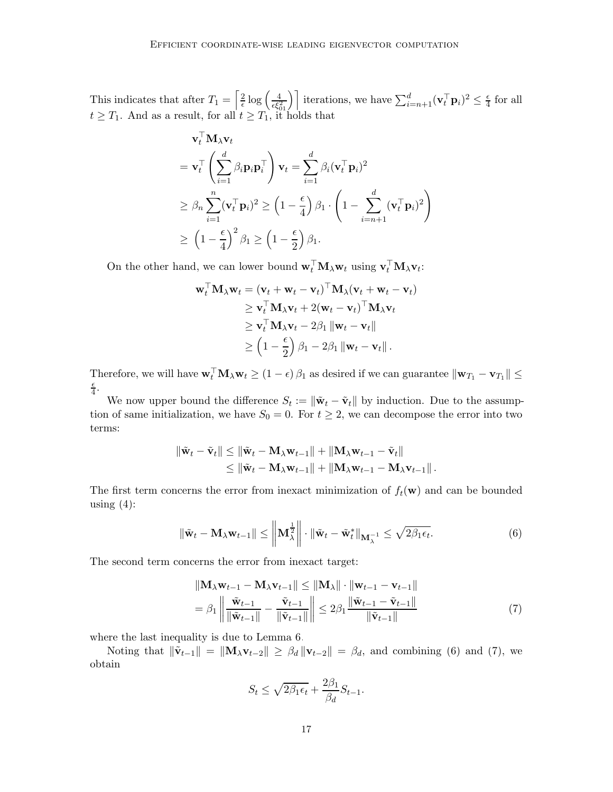This indicates that after  $T_1 = \left[\frac{2}{\epsilon}\right]$  $\frac{2}{\epsilon} \log \left( \frac{4}{\epsilon \xi_{01}^2} \right)$  iterations, we have  $\sum_{i=n+1}^d (\mathbf{v}_t^{\top} \mathbf{p}_i)^2 \leq \frac{\epsilon}{4}$  $rac{\epsilon}{4}$  for all  $t \geq T_1$ . And as a result, for all  $t \geq T_1$ , it holds that

$$
\mathbf{v}_{t}^{\top} \mathbf{M}_{\lambda} \mathbf{v}_{t}
$$
\n
$$
= \mathbf{v}_{t}^{\top} \left( \sum_{i=1}^{d} \beta_{i} \mathbf{p}_{i} \mathbf{p}_{i}^{\top} \right) \mathbf{v}_{t} = \sum_{i=1}^{d} \beta_{i} (\mathbf{v}_{t}^{\top} \mathbf{p}_{i})^{2}
$$
\n
$$
\geq \beta_{n} \sum_{i=1}^{n} (\mathbf{v}_{t}^{\top} \mathbf{p}_{i})^{2} \geq \left( 1 - \frac{\epsilon}{4} \right) \beta_{1} \cdot \left( 1 - \sum_{i=n+1}^{d} (\mathbf{v}_{t}^{\top} \mathbf{p}_{i})^{2} \right)
$$
\n
$$
\geq \left( 1 - \frac{\epsilon}{4} \right)^{2} \beta_{1} \geq \left( 1 - \frac{\epsilon}{2} \right) \beta_{1}.
$$

On the other hand, we can lower bound  $\mathbf{w}_t^{\top} \mathbf{M}_\lambda \mathbf{w}_t$  using  $\mathbf{v}_t^{\top} \mathbf{M}_\lambda \mathbf{v}_t$ :

$$
\mathbf{w}_t^{\top} \mathbf{M}_{\lambda} \mathbf{w}_t = (\mathbf{v}_t + \mathbf{w}_t - \mathbf{v}_t)^{\top} \mathbf{M}_{\lambda} (\mathbf{v}_t + \mathbf{w}_t - \mathbf{v}_t)
$$
\n
$$
\geq \mathbf{v}_t^{\top} \mathbf{M}_{\lambda} \mathbf{v}_t + 2(\mathbf{w}_t - \mathbf{v}_t)^{\top} \mathbf{M}_{\lambda} \mathbf{v}_t
$$
\n
$$
\geq \mathbf{v}_t^{\top} \mathbf{M}_{\lambda} \mathbf{v}_t - 2\beta_1 \|\mathbf{w}_t - \mathbf{v}_t\|
$$
\n
$$
\geq \left(1 - \frac{\epsilon}{2}\right) \beta_1 - 2\beta_1 \|\mathbf{w}_t - \mathbf{v}_t\|.
$$

Therefore, we will have  $\mathbf{w}_t \mathbf{M}_{\lambda} \mathbf{w}_t \ge (1 - \epsilon) \beta_1$  as desired if we can guarantee  $\|\mathbf{w}_{T_1} - \mathbf{v}_{T_1}\| \le$  $\epsilon$  $\frac{\epsilon}{4}$ .

We now upper bound the difference  $S_t := \|\tilde{\mathbf{w}}_t - \tilde{\mathbf{v}}_t\|$  by induction. Due to the assumption of same initialization, we have  $S_0 = 0$ . For  $t \geq 2$ , we can decompose the error into two terms:

$$
\|\tilde{\mathbf{w}}_t - \tilde{\mathbf{v}}_t\| \le \|\tilde{\mathbf{w}}_t - \mathbf{M}_{\lambda} \mathbf{w}_{t-1}\| + \|\mathbf{M}_{\lambda} \mathbf{w}_{t-1} - \tilde{\mathbf{v}}_t\| \le \|\tilde{\mathbf{w}}_t - \mathbf{M}_{\lambda} \mathbf{w}_{t-1}\| + \|\mathbf{M}_{\lambda} \mathbf{w}_{t-1} - \mathbf{M}_{\lambda} \mathbf{v}_{t-1}\|.
$$

The first term concerns the error from inexact minimization of  $f_t(\mathbf{w})$  and can be bounded using  $(4)$ :

$$
\|\tilde{\mathbf{w}}_t - \mathbf{M}_{\lambda} \mathbf{w}_{t-1}\| \le \left\| \mathbf{M}_{\lambda}^{\frac{1}{2}} \right\| \cdot \|\tilde{\mathbf{w}}_t - \tilde{\mathbf{w}}_t^* \|_{\mathbf{M}_{\lambda}^{-1}} \le \sqrt{2\beta_1 \epsilon_t}.
$$
 (6)

The second term concerns the error from inexact target:

$$
\|\mathbf{M}_{\lambda}\mathbf{w}_{t-1} - \mathbf{M}_{\lambda}\mathbf{v}_{t-1}\| \leq \|\mathbf{M}_{\lambda}\| \cdot \|\mathbf{w}_{t-1} - \mathbf{v}_{t-1}\|
$$
  
=  $\beta_1 \left\| \frac{\tilde{\mathbf{w}}_{t-1}}{\|\tilde{\mathbf{w}}_{t-1}\|} - \frac{\tilde{\mathbf{v}}_{t-1}}{\|\tilde{\mathbf{v}}_{t-1}\|} \right\| \leq 2\beta_1 \frac{\|\tilde{\mathbf{w}}_{t-1} - \tilde{\mathbf{v}}_{t-1}\|}{\|\tilde{\mathbf{v}}_{t-1}\|}$  (7)

where the last inequality is due to Lemma [6.](#page-14-4)

Noting that  $\|\tilde{\mathbf{v}}_{t-1}\| = \|\mathbf{M}_{\lambda} \mathbf{v}_{t-2}\| \geq \beta_d \|\mathbf{v}_{t-2}\| = \beta_d$ , and combining [\(6\)](#page-16-0) and [\(7\)](#page-16-1), we obtain

<span id="page-16-1"></span><span id="page-16-0"></span>
$$
S_t \le \sqrt{2\beta_1 \epsilon_t} + \frac{2\beta_1}{\beta_d} S_{t-1}.
$$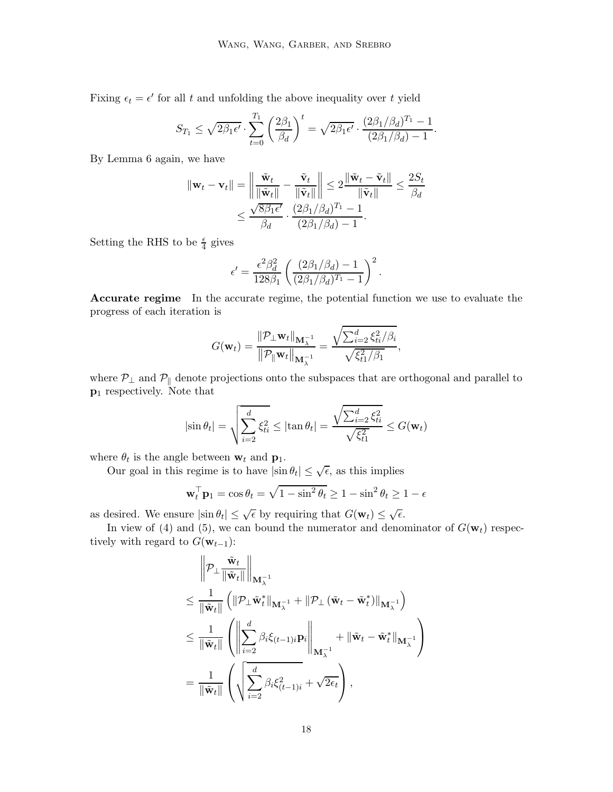Fixing  $\epsilon_t = \epsilon'$  for all t and unfolding the above inequality over t yield

$$
S_{T_1} \leq \sqrt{2\beta_1 \epsilon'} \cdot \sum_{t=0}^{T_1} \left(\frac{2\beta_1}{\beta_d}\right)^t = \sqrt{2\beta_1 \epsilon'} \cdot \frac{(2\beta_1/\beta_d)^{T_1} - 1}{(2\beta_1/\beta_d) - 1}.
$$

By Lemma [6](#page-14-4) again, we have

$$
\|\mathbf{w}_t - \mathbf{v}_t\| = \left\|\frac{\tilde{\mathbf{w}}_t}{\|\tilde{\mathbf{w}}_t\|} - \frac{\tilde{\mathbf{v}}_t}{\|\tilde{\mathbf{v}}_t\|}\right\| \le 2\frac{\|\tilde{\mathbf{w}}_t - \tilde{\mathbf{v}}_t\|}{\|\tilde{\mathbf{v}}_t\|} \le \frac{2S_t}{\beta_d}
$$

$$
\le \frac{\sqrt{8\beta_1\epsilon'}}{\beta_d} \cdot \frac{(2\beta_1/\beta_d)^{T_1} - 1}{(2\beta_1/\beta_d) - 1}.
$$

Setting the RHS to be  $\frac{\epsilon}{4}$  gives

$$
\epsilon' = \frac{\epsilon^2 \beta_d^2}{128\beta_1} \left( \frac{(2\beta_1/\beta_d) - 1}{(2\beta_1/\beta_d)^{T_1} - 1} \right)^2.
$$

Accurate regime In the accurate regime, the potential function we use to evaluate the progress of each iteration is

$$
G(\mathbf{w}_t) = \frac{\|\mathcal{P}_{\perp}\mathbf{w}_t\|_{\mathbf{M}_{\lambda}^{-1}}}{\|\mathcal{P}_{\parallel}\mathbf{w}_t\|_{\mathbf{M}_{\lambda}^{-1}}} = \frac{\sqrt{\sum_{i=2}^d \xi_{ti}^2/\beta_i}}{\sqrt{\xi_{t1}^2/\beta_1}},
$$

where  $P_{\perp}$  and  $P_{\parallel}$  denote projections onto the subspaces that are orthogonal and parallel to p<sup>1</sup> respectively. Note that

$$
|\sin \theta_t| = \sqrt{\sum_{i=2}^d \xi_{ti}^2} \le |\tan \theta_t| = \frac{\sqrt{\sum_{i=2}^d \xi_{ti}^2}}{\sqrt{\xi_{t1}^2}} \le G(\mathbf{w}_t)
$$

where  $\theta_t$  is the angle between  $\mathbf{w}_t$  and  $\mathbf{p}_1$ .

Our goal in this regime is to have  $|\sin \theta_t| \leq \sqrt{\epsilon}$ , as this implies

$$
\mathbf{w}_t^{\top} \mathbf{p}_1 = \cos \theta_t = \sqrt{1 - \sin^2 \theta_t} \ge 1 - \sin^2 \theta_t \ge 1 - \epsilon
$$

as desired. We ensure  $|\sin \theta_t| \leq \sqrt{\epsilon}$  by requiring that  $G(\mathbf{w}_t) \leq \sqrt{\epsilon}$ .

In view of [\(4\)](#page-15-0) and [\(5\)](#page-15-1), we can bound the numerator and denominator of  $G(\mathbf{w}_t)$  respectively with regard to  $G(\mathbf{w}_{t-1})$ :

$$
\begin{split}\n&\left\|\mathcal{P}_{\perp}\frac{\tilde{\mathbf{w}}_t}{\|\tilde{\mathbf{w}}_t\|}\right\|_{\mathbf{M}_{\lambda}^{-1}} \\
&\leq \frac{1}{\|\tilde{\mathbf{w}}_t\|} \left(\|\mathcal{P}_{\perp}\tilde{\mathbf{w}}_t^*\|_{\mathbf{M}_{\lambda}^{-1}} + \|\mathcal{P}_{\perp}\left(\tilde{\mathbf{w}}_t - \tilde{\mathbf{w}}_t^*\right)\|_{\mathbf{M}_{\lambda}^{-1}}\right) \\
&\leq \frac{1}{\|\tilde{\mathbf{w}}_t\|} \left(\left\|\sum_{i=2}^d \beta_i \xi_{(t-1)i} \mathbf{p}_i\right\|_{\mathbf{M}_{\lambda}^{-1}} + \|\tilde{\mathbf{w}}_t - \tilde{\mathbf{w}}_t^*\|_{\mathbf{M}_{\lambda}^{-1}}\right) \\
&= \frac{1}{\|\tilde{\mathbf{w}}_t\|} \left(\sqrt{\sum_{i=2}^d \beta_i \xi_{(t-1)i}^2 + \sqrt{2\epsilon_t}}\right),\n\end{split}
$$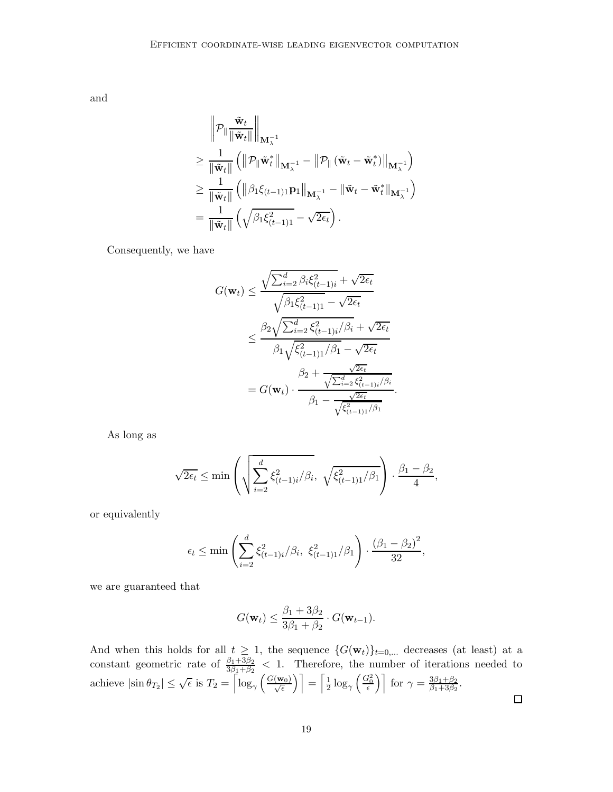and

$$
\begin{aligned}\n&\left\|\mathcal{P}_{\parallel}\frac{\tilde{\mathbf{w}}_t}{\|\tilde{\mathbf{w}}_t\|}\right\|_{\mathbf{M}_{\lambda}^{-1}} \\
&\geq \frac{1}{\|\tilde{\mathbf{w}}_t\|} \left(\left\|\mathcal{P}_{\parallel}\tilde{\mathbf{w}}_t^*\right\|_{\mathbf{M}_{\lambda}^{-1}} - \left\|\mathcal{P}_{\parallel}\left(\tilde{\mathbf{w}}_t - \tilde{\mathbf{w}}_t^*\right)\right\|_{\mathbf{M}_{\lambda}^{-1}}\right) \\
&\geq \frac{1}{\|\tilde{\mathbf{w}}_t\|} \left(\left\|\beta_1\xi_{(t-1)1}\mathbf{p}_1\right\|_{\mathbf{M}_{\lambda}^{-1}} - \|\tilde{\mathbf{w}}_t - \tilde{\mathbf{w}}_t^*\|_{\mathbf{M}_{\lambda}^{-1}}\right) \\
&= \frac{1}{\|\tilde{\mathbf{w}}_t\|} \left(\sqrt{\beta_1\xi_{(t-1)1}^2} - \sqrt{2\epsilon_t}\right).\n\end{aligned}
$$

Consequently, we have

$$
G(\mathbf{w}_{t}) \leq \frac{\sqrt{\sum_{i=2}^{d} \beta_{i} \xi_{(t-1)i}^{2}} + \sqrt{2\epsilon_{t}}}{\sqrt{\beta_{1} \xi_{(t-1)1}^{2}} - \sqrt{2\epsilon_{t}}}
$$

$$
\leq \frac{\beta_{2} \sqrt{\sum_{i=2}^{d} \xi_{(t-1)i}^{2} / \beta_{i}} + \sqrt{2\epsilon_{t}}}{\beta_{1} \sqrt{\xi_{(t-1)1}^{2} / \beta_{1}} - \sqrt{2\epsilon_{t}}}
$$

$$
= G(\mathbf{w}_{t}) \cdot \frac{\beta_{2} + \frac{\sqrt{2\epsilon_{t}}}{\sqrt{\sum_{i=2}^{d} \xi_{(t-1)i}^{2} / \beta_{i}}}}{\beta_{1} - \frac{\sqrt{2\epsilon_{t}}}{\sqrt{\xi_{(t-1)1}^{2} / \beta_{1}}}}
$$

As long as

$$
\sqrt{2\epsilon_t} \le \min\left(\sqrt{\sum_{i=2}^d \xi_{(t-1)i}^2/\beta_i}, \sqrt{\xi_{(t-1)1}^2/\beta_1}\right) \cdot \frac{\beta_1 - \beta_2}{4},
$$

or equivalently

$$
\epsilon_t \le \min \left( \sum_{i=2}^d \xi_{(t-1)i}^2 / \beta_i, \xi_{(t-1)1}^2 / \beta_1 \right) \cdot \frac{(\beta_1 - \beta_2)^2}{32},
$$

we are guaranteed that

$$
G(\mathbf{w}_t) \le \frac{\beta_1 + 3\beta_2}{3\beta_1 + \beta_2} \cdot G(\mathbf{w}_{t-1}).
$$

And when this holds for all  $t \geq 1$ , the sequence  $\{G(\mathbf{w}_t)\}_{t=0,\ldots}$  decreases (at least) at a constant geometric rate of  $\frac{\beta_1+3\beta_2}{3\beta_1+\beta_2}$  < 1. Therefore, the number of iterations needed to achieve  $|\sin \theta_{T_2}| \leq \sqrt{\epsilon}$  is  $T_2 = \left\lceil \log_{\gamma}\left(\frac{G(\mathbf{w}_0)}{\sqrt{\epsilon}}\right) \right\rceil = \left\lceil \frac{1}{2} \right\rceil$  $\frac{1}{2}\log_{\gamma}\left(\frac{G_0^2}{\epsilon}\right)\right]$  for  $\gamma = \frac{3\beta_1 + \beta_2}{\beta_1 + 3\beta_2}$  $\frac{3p_1+p_2}{\beta_1+3\beta_2}$ .  $\Box$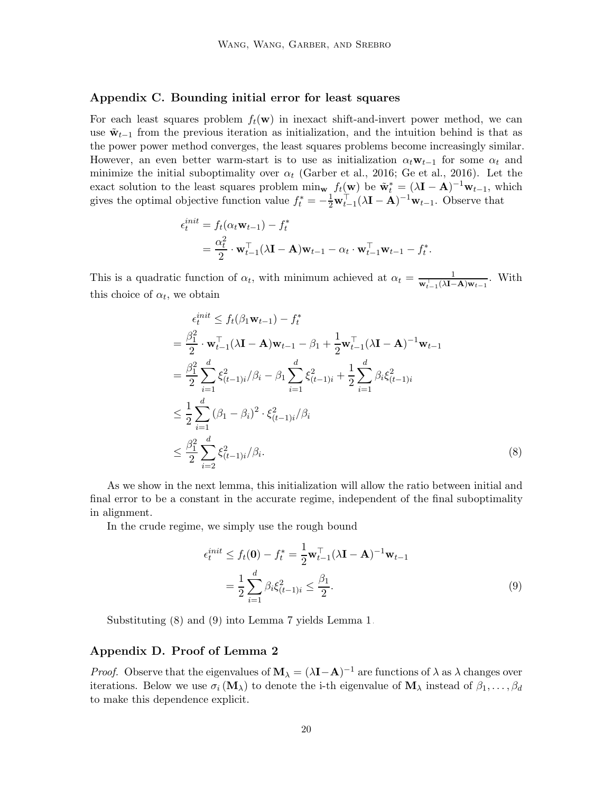# <span id="page-19-0"></span>Appendix C. Bounding initial error for least squares

For each least squares problem  $f_t(\mathbf{w})$  in inexact shift-and-invert power method, we can use  $\tilde{\mathbf{w}}_{t-1}$  from the previous iteration as initialization, and the intuition behind is that as the power power method converges, the least squares problems become increasingly similar. However, an even better warm-start is to use as initialization  $\alpha_t \mathbf{w}_{t-1}$  for some  $\alpha_t$  and minimize the initial suboptimality over  $\alpha_t$  [\(Garber et al., 2016;](#page-12-0) [Ge et al., 2016\)](#page-12-6). Let the exact solution to the least squares problem  $\min_{\mathbf{w}} f_t(\mathbf{w})$  be  $\tilde{\mathbf{w}}_t^* = (\lambda \mathbf{I} - \mathbf{A})^{-1} \mathbf{w}_{t-1}$ , which gives the optimal objective function value  $f_t^* = -\frac{1}{2}\mathbf{w}_{t-1}^{\top}(\lambda \mathbf{I} - \mathbf{A})^{-1}\mathbf{w}_{t-1}$ . Observe that

$$
\epsilon_t^{init} = f_t(\alpha_t \mathbf{w}_{t-1}) - f_t^*
$$
  
= 
$$
\frac{\alpha_t^2}{2} \cdot \mathbf{w}_{t-1}^\top (\lambda \mathbf{I} - \mathbf{A}) \mathbf{w}_{t-1} - \alpha_t \cdot \mathbf{w}_{t-1}^\top \mathbf{w}_{t-1} - f_t^*.
$$

This is a quadratic function of  $\alpha_t$ , with minimum achieved at  $\alpha_t = \frac{1}{\mathbf{w}_{t-1}^{\top}(\lambda \mathbf{I}-\mathbf{A})\mathbf{w}_{t-1}}$ . With this choice of  $\alpha_t$ , we obtain

$$
\epsilon_t^{init} \le f_t(\beta_1 \mathbf{w}_{t-1}) - f_t^*
$$
\n
$$
= \frac{\beta_1^2}{2} \cdot \mathbf{w}_{t-1}^\top (\lambda \mathbf{I} - \mathbf{A}) \mathbf{w}_{t-1} - \beta_1 + \frac{1}{2} \mathbf{w}_{t-1}^\top (\lambda \mathbf{I} - \mathbf{A})^{-1} \mathbf{w}_{t-1}
$$
\n
$$
= \frac{\beta_1^2}{2} \sum_{i=1}^d \xi_{(t-1)i}^2 / \beta_i - \beta_1 \sum_{i=1}^d \xi_{(t-1)i}^2 + \frac{1}{2} \sum_{i=1}^d \beta_i \xi_{(t-1)i}^2
$$
\n
$$
\le \frac{1}{2} \sum_{i=1}^d (\beta_1 - \beta_i)^2 \cdot \xi_{(t-1)i}^2 / \beta_i
$$
\n
$$
\le \frac{\beta_1^2}{2} \sum_{i=2}^d \xi_{(t-1)i}^2 / \beta_i.
$$
\n(8)

As we show in the next lemma, this initialization will allow the ratio between initial and final error to be a constant in the accurate regime, independent of the final suboptimality in alignment.

In the crude regime, we simply use the rough bound

<span id="page-19-2"></span><span id="page-19-1"></span>
$$
\epsilon_t^{init} \le f_t(\mathbf{0}) - f_t^* = \frac{1}{2} \mathbf{w}_{t-1}^\top (\lambda \mathbf{I} - \mathbf{A})^{-1} \mathbf{w}_{t-1}
$$
  
=  $\frac{1}{2} \sum_{i=1}^d \beta_i \xi_{(t-1)i}^2 \le \frac{\beta_1}{2}.$  (9)

Substituting [\(8\)](#page-19-1) and [\(9\)](#page-19-2) into Lemma [7](#page-14-3) yields Lemma [1.](#page-5-0)

#### Appendix D. Proof of Lemma [2](#page-5-1)

*Proof.* Observe that the eigenvalues of  $M_{\lambda} = (\lambda I - A)^{-1}$  are functions of  $\lambda$  as  $\lambda$  changes over iterations. Below we use  $\sigma_i(\mathbf{M}_{\lambda})$  to denote the i-th eigenvalue of  $\mathbf{M}_{\lambda}$  instead of  $\beta_1, \ldots, \beta_d$ to make this dependence explicit.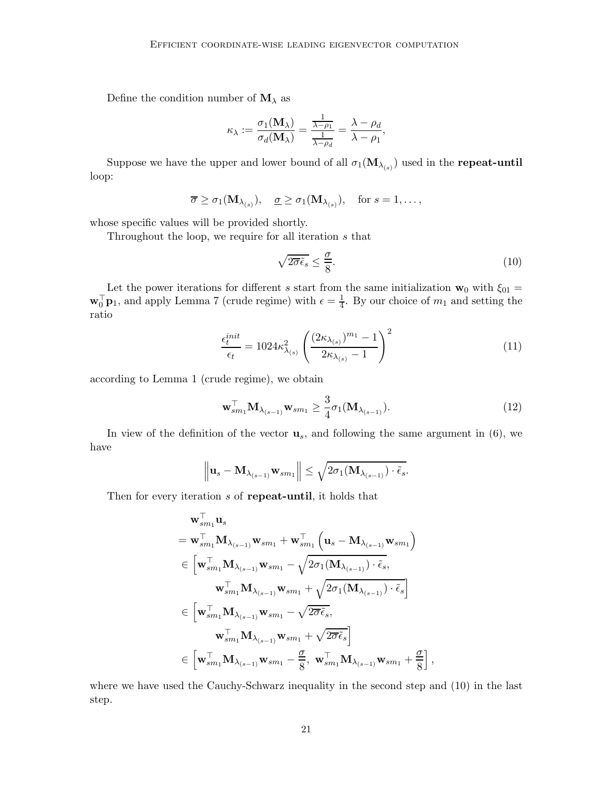Define the condition number of  $\mathbf{M}_{\lambda}$  as

$$
\kappa_{\lambda} := \frac{\sigma_1(\mathbf{M}_{\lambda})}{\sigma_d(\mathbf{M}_{\lambda})} = \frac{\frac{1}{\lambda - \rho_1}}{\frac{1}{\lambda - \rho_d}} = \frac{\lambda - \rho_d}{\lambda - \rho_1},
$$

Suppose we have the upper and lower bound of all  $\sigma_1(\mathbf{M}_{\lambda_{(s)}})$  used in the repeat-until loop:

$$
\overline{\sigma} \geq \sigma_1(\mathbf{M}_{\lambda_{(s)}}), \quad \underline{\sigma} \geq \sigma_1(\mathbf{M}_{\lambda_{(s)}}), \quad \text{for } s = 1, \dots,
$$

whose specific values will be provided shortly.

Throughout the loop, we require for all iteration s that

<span id="page-20-2"></span><span id="page-20-1"></span><span id="page-20-0"></span>
$$
\sqrt{2\overline{\sigma}\tilde{\epsilon}_s} \le \frac{\sigma}{8}.\tag{10}
$$

Let the power iterations for different s start from the same initialization  $\mathbf{w}_0$  with  $\xi_{01} =$  $\mathbf{w}_0^{\top} \mathbf{p}_1$ , and apply Lemma [7](#page-14-3) (crude regime) with  $\epsilon = \frac{1}{4}$ . By our choice of  $m_1$  and setting the ratio

$$
\frac{\epsilon_t^{init}}{\epsilon_t} = 1024\kappa_{\lambda_{(s)}}^2 \left( \frac{(2\kappa_{\lambda_{(s)}})^{m_1} - 1}{2\kappa_{\lambda_{(s)}} - 1} \right)^2
$$
\n(11)

according to Lemma [1](#page-5-0) (crude regime), we obtain

$$
\mathbf{w}_{sm_1}^{\top} \mathbf{M}_{\lambda_{(s-1)}} \mathbf{w}_{sm_1} \ge \frac{3}{4} \sigma_1(\mathbf{M}_{\lambda_{(s-1)}}). \tag{12}
$$

,

In view of the definition of the vector  $\mathbf{u}_s$ , and following the same argument in [\(6\)](#page-16-0), we have

$$
\left\|\mathbf{u}_s-\mathbf{M}_{\lambda_{(s-1)}}\mathbf{w}_{sm_1}\right\| \leq \sqrt{2\sigma_1(\mathbf{M}_{\lambda_{(s-1)}})\cdot \tilde{\epsilon}_s}.
$$

Then for every iteration s of **repeat-until**, it holds that

$$
\begin{aligned} &\mathbf{w}_{sm_1}^{\top} \mathbf{u}_s \\ &= \mathbf{w}_{sm_1}^{\top} \mathbf{M}_{\lambda_{(s-1)}} \mathbf{w}_{sm_1} + \mathbf{w}_{sm_1}^{\top} \left( \mathbf{u}_s - \mathbf{M}_{\lambda_{(s-1)}} \mathbf{w}_{sm_1} \right) \\ &\in \left[ \mathbf{w}_{sm_1}^{\top} \mathbf{M}_{\lambda_{(s-1)}} \mathbf{w}_{sm_1} - \sqrt{2 \sigma_1 (\mathbf{M}_{\lambda_{(s-1)}}) \cdot \tilde{\epsilon}_s}, \right. \\ &\left. \mathbf{w}_{sm_1}^{\top} \mathbf{M}_{\lambda_{(s-1)}} \mathbf{w}_{sm_1} + \sqrt{2 \sigma_1 (\mathbf{M}_{\lambda_{(s-1)}}) \cdot \tilde{\epsilon}_s} \right] \\ &\in \left[ \mathbf{w}_{sm_1}^{\top} \mathbf{M}_{\lambda_{(s-1)}} \mathbf{w}_{sm_1} - \sqrt{2 \overline{\sigma} \tilde{\epsilon}_s}, \right. \\ &\left. \mathbf{w}_{sm_1}^{\top} \mathbf{M}_{\lambda_{(s-1)}} \mathbf{w}_{sm_1} + \sqrt{2 \overline{\sigma} \tilde{\epsilon}_s} \right] \\ &\in \left[ \mathbf{w}_{sm_1}^{\top} \mathbf{M}_{\lambda_{(s-1)}} \mathbf{w}_{sm_1} - \frac{\underline{\sigma}}{8}, \mathbf{w}_{sm_1}^{\top} \mathbf{M}_{\lambda_{(s-1)}} \mathbf{w}_{sm_1} + \frac{\underline{\sigma}}{8} \right] \end{aligned}
$$

where we have used the Cauchy-Schwarz inequality in the second step and [\(10\)](#page-20-0) in the last step.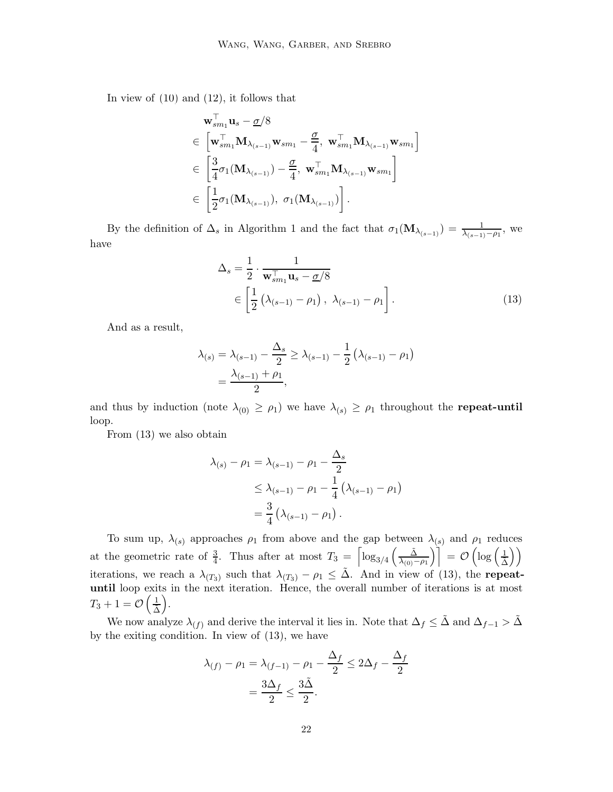In view of [\(10\)](#page-20-0) and [\(12\)](#page-20-1), it follows that

$$
\mathbf{w}_{sm_1}^{\dagger} \mathbf{u}_s - \underline{\sigma}/8
$$
\n
$$
\in \left[ \mathbf{w}_{sm_1}^{\top} \mathbf{M}_{\lambda_{(s-1)}} \mathbf{w}_{sm_1} - \frac{\underline{\sigma}}{4}, \mathbf{w}_{sm_1}^{\top} \mathbf{M}_{\lambda_{(s-1)}} \mathbf{w}_{sm_1} \right]
$$
\n
$$
\in \left[ \frac{3}{4} \sigma_1(\mathbf{M}_{\lambda_{(s-1)}}) - \frac{\underline{\sigma}}{4}, \mathbf{w}_{sm_1}^{\top} \mathbf{M}_{\lambda_{(s-1)}} \mathbf{w}_{sm_1} \right]
$$
\n
$$
\in \left[ \frac{1}{2} \sigma_1(\mathbf{M}_{\lambda_{(s-1)}}), \sigma_1(\mathbf{M}_{\lambda_{(s-1)}}) \right].
$$

By the definition of  $\Delta_s$  in Algorithm [1](#page-4-0) and the fact that  $\sigma_1(\mathbf{M}_{\lambda_{(s-1)}}) = \frac{1}{\lambda_{(s-1)}-\rho_1}$ , we have

<span id="page-21-0"></span>
$$
\Delta_s = \frac{1}{2} \cdot \frac{1}{\mathbf{w}_{sm_1}^{\top} \mathbf{u}_s - \underline{\sigma}/8}
$$
  
\n
$$
\in \left[\frac{1}{2} \left(\lambda_{(s-1)} - \rho_1\right), \lambda_{(s-1)} - \rho_1\right].
$$
\n(13)

And as a result,

$$
\lambda_{(s)} = \lambda_{(s-1)} - \frac{\Delta_s}{2} \ge \lambda_{(s-1)} - \frac{1}{2} (\lambda_{(s-1)} - \rho_1)
$$
  
=  $\frac{\lambda_{(s-1)} + \rho_1}{2}$ ,

and thus by induction (note  $\lambda_{(0)} \ge \rho_1$ ) we have  $\lambda_{(s)} \ge \rho_1$  throughout the **repeat-until** loop.

From [\(13\)](#page-21-0) we also obtain

$$
\lambda_{(s)} - \rho_1 = \lambda_{(s-1)} - \rho_1 - \frac{\Delta_s}{2}
$$
  
\n
$$
\leq \lambda_{(s-1)} - \rho_1 - \frac{1}{4} (\lambda_{(s-1)} - \rho_1)
$$
  
\n
$$
= \frac{3}{4} (\lambda_{(s-1)} - \rho_1).
$$

To sum up,  $\lambda_{(s)}$  approaches  $\rho_1$  from above and the gap between  $\lambda_{(s)}$  and  $\rho_1$  reduces at the geometric rate of  $\frac{3}{4}$ . Thus after at most  $T_3 = \left[\log_{3/4}\left(\frac{\tilde{\Delta}}{\lambda_{(0)}},\frac{\tilde{\Delta}}{\lambda_{(0)}},\frac{\tilde{\Delta}}{\lambda_{(0)}}\right)\right]$  $\left[\frac{\tilde{\Delta}}{\lambda_{(0)}-\rho_{1}}\right)\Big]\,=\,\mathcal{O}\left(\log\left(\frac{1}{\tilde{\Delta}}\right)\right)$  $\setminus$ iterations, we reach a  $\lambda_{(T_3)}$  such that  $\lambda_{(T_3)} - \rho_1 \leq \tilde{\Delta}$ . And in view of [\(13\)](#page-21-0), the **repeat**until loop exits in the next iteration. Hence, the overall number of iterations is at most  $T_3+1=\mathcal{O}\left(\frac{1}{\tilde{\Delta}}\right)$ .

We now analyze  $\lambda_{(f)}$  and derive the interval it lies in. Note that  $\Delta_f \leq \tilde{\Delta}$  and  $\Delta_{f-1} > \tilde{\Delta}$ by the exiting condition. In view of [\(13\)](#page-21-0), we have

$$
\lambda_{(f)} - \rho_1 = \lambda_{(f-1)} - \rho_1 - \frac{\Delta_f}{2} \le 2\Delta_f - \frac{\Delta_f}{2}
$$

$$
= \frac{3\Delta_f}{2} \le \frac{3\tilde{\Delta}}{2}.
$$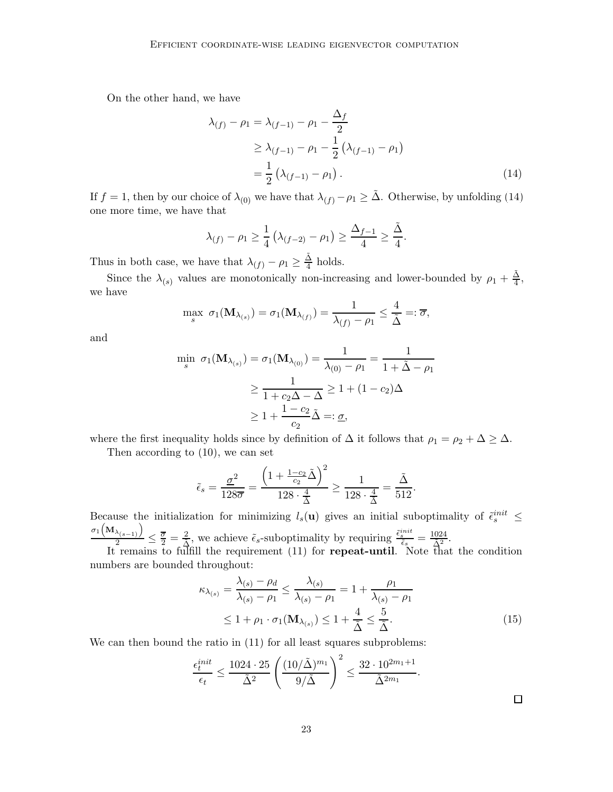On the other hand, we have

<span id="page-22-0"></span>
$$
\lambda_{(f)} - \rho_1 = \lambda_{(f-1)} - \rho_1 - \frac{\Delta_f}{2}
$$
  
\n
$$
\geq \lambda_{(f-1)} - \rho_1 - \frac{1}{2} (\lambda_{(f-1)} - \rho_1)
$$
  
\n
$$
= \frac{1}{2} (\lambda_{(f-1)} - \rho_1).
$$
 (14)

If  $f = 1$ , then by our choice of  $\lambda_{(0)}$  we have that  $\lambda_{(f)} - \rho_1 \geq \tilde{\Delta}$ . Otherwise, by unfolding [\(14\)](#page-22-0) one more time, we have that

$$
\lambda_{(f)} - \rho_1 \ge \frac{1}{4} \left( \lambda_{(f-2)} - \rho_1 \right) \ge \frac{\Delta_{f-1}}{4} \ge \frac{\tilde{\Delta}}{4}.
$$

Thus in both case, we have that  $\lambda(f) - \rho_1 \geq \frac{\tilde{\Delta}}{4}$  $rac{1}{4}$  holds.

Since the  $\lambda_{(s)}$  values are monotonically non-increasing and lower-bounded by  $\rho_1 + \frac{\tilde{\Delta}}{4}$  $\frac{\Delta}{4}$ , we have

$$
\max_{s} \; \sigma_1(\mathbf{M}_{\lambda_{(s)}}) = \sigma_1(\mathbf{M}_{\lambda_{(f)}}) = \frac{1}{\lambda_{(f)} - \rho_1} \leq \frac{4}{\tilde{\Delta}} =: \overline{\sigma},
$$

and

$$
\min_{s} \sigma_1(\mathbf{M}_{\lambda_{(s)}}) = \sigma_1(\mathbf{M}_{\lambda_{(0)}}) = \frac{1}{\lambda_{(0)} - \rho_1} = \frac{1}{1 + \tilde{\Delta} - \rho_1}
$$

$$
\geq \frac{1}{1 + c_2 \Delta - \Delta} \geq 1 + (1 - c_2) \Delta
$$

$$
\geq 1 + \frac{1 - c_2}{c_2} \tilde{\Delta} =: \underline{\sigma},
$$

where the first inequality holds since by definition of  $\Delta$  it follows that  $\rho_1 = \rho_2 + \Delta \geq \Delta$ .

Then according to [\(10\)](#page-20-0), we can set

$$
\tilde{\epsilon}_s = \frac{\underline{\sigma}^2}{128\overline{\sigma}} = \frac{\left(1 + \frac{1 - c_2}{c_2} \tilde{\Delta} \right)^2}{128 \cdot \frac{4}{\tilde{\Delta}}} \ge \frac{1}{128 \cdot \frac{4}{\tilde{\Delta}}} = \frac{\tilde{\Delta}}{512}.
$$

Because the initialization for minimizing  $l_s(\mathbf{u})$  gives an initial suboptimality of  $\tilde{\epsilon}_s^{init} \leq$  $\sigma_1\Big(\mathbf{M}_{\lambda_{(s-1)}}\Big)$  $\frac{\lambda_{(s-1)}}{2} \leq \frac{\overline{\sigma}}{2} = \frac{2}{\tilde{\Delta}}$ , we achieve  $\tilde{\epsilon}_s$ -suboptimality by requiring  $\frac{\tilde{\epsilon}_s^{init}}{\tilde{\epsilon}_s} = \frac{1024}{\tilde{\Delta}^2}$ .

It remains to fulfill the requirement [\(11\)](#page-20-2) for **repeat-until**. Note that the condition numbers are bounded throughout:

$$
\kappa_{\lambda_{(s)}} = \frac{\lambda_{(s)} - \rho_d}{\lambda_{(s)} - \rho_1} \le \frac{\lambda_{(s)}}{\lambda_{(s)} - \rho_1} = 1 + \frac{\rho_1}{\lambda_{(s)} - \rho_1}
$$
  
\n
$$
\le 1 + \rho_1 \cdot \sigma_1(\mathbf{M}_{\lambda_{(s)}}) \le 1 + \frac{4}{\tilde{\Delta}} \le \frac{5}{\tilde{\Delta}}.
$$
 (15)

We can then bound the ratio in  $(11)$  for all least squares subproblems:

$$
\frac{\epsilon_t^{init}}{\epsilon_t} \le \frac{1024 \cdot 25}{\tilde{\Delta}^2} \left( \frac{(10/\tilde{\Delta})^{m_1}}{9/\tilde{\Delta}} \right)^2 \le \frac{32 \cdot 10^{2m_1+1}}{\tilde{\Delta}^{2m_1}}.
$$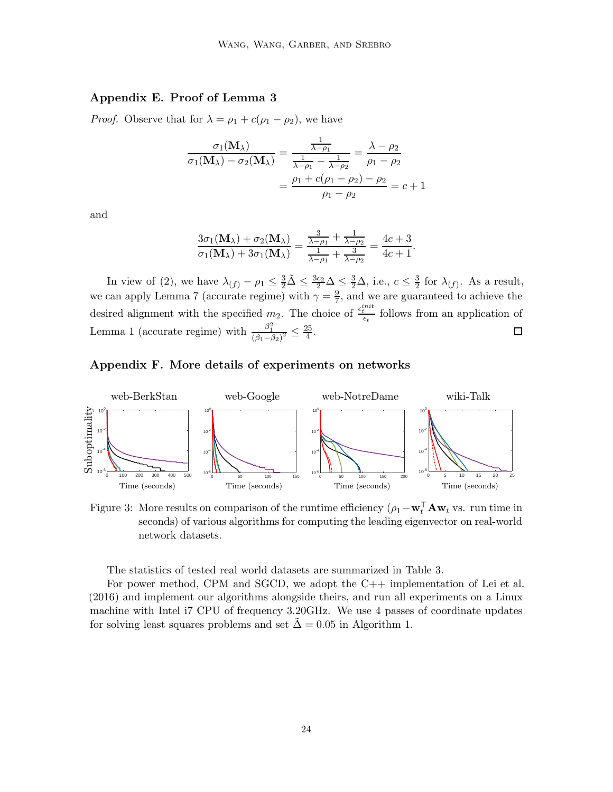# Appendix E. Proof of Lemma [3](#page-5-2)

*Proof.* Observe that for  $\lambda = \rho_1 + c(\rho_1 - \rho_2)$ , we have

$$
\frac{\sigma_1(\mathbf{M}_{\lambda})}{\sigma_1(\mathbf{M}_{\lambda}) - \sigma_2(\mathbf{M}_{\lambda})} = \frac{\frac{1}{\lambda - \rho_1}}{\frac{1}{\lambda - \rho_1} - \frac{1}{\lambda - \rho_2}} = \frac{\lambda - \rho_2}{\rho_1 - \rho_2} = \frac{\rho_1 + c(\rho_1 - \rho_2) - \rho_2}{\rho_1 - \rho_2} = c + 1
$$

and

$$
\frac{3\sigma_1(\mathbf{M}_{\lambda}) + \sigma_2(\mathbf{M}_{\lambda})}{\sigma_1(\mathbf{M}_{\lambda}) + 3\sigma_1(\mathbf{M}_{\lambda})} = \frac{\frac{3}{\lambda - \rho_1} + \frac{1}{\lambda - \rho_2}}{\frac{1}{\lambda - \rho_1} + \frac{3}{\lambda - \rho_2}} = \frac{4c + 3}{4c + 1}.
$$

In view of [\(2\)](#page-5-3), we have  $\lambda_{(f)} - \rho_1 \leq \frac{3}{2}\tilde{\Delta} \leq \frac{3c_2}{2}\Delta \leq \frac{3}{2}\Delta$ , i.e.,  $c \leq \frac{3}{2}$  $\frac{3}{2}$  for  $\lambda_{(f)}$ . As a result, we can apply Lemma [7](#page-14-3) (accurate regime) with  $\gamma = \frac{9}{7}$  $\frac{9}{7}$ , and we are guaranteed to achieve the desired alignment with the specified  $m_2$ . The choice of  $\frac{\epsilon_t^{init}}{\epsilon_t}$  follows from an application of Lemma [1](#page-5-0) (accurate regime) with  $\frac{\beta_1^2}{(\beta_1 - \beta_2)^2} \leq \frac{25}{4}$ .  $\Box$ 

# Appendix F. More details of experiments on networks



Figure 3: More results on comparison of the runtime efficiency  $(\rho_1 - \mathbf{w}_t^{\top} \mathbf{A} \mathbf{w}_t)$  vs. run time in seconds) of various algorithms for computing the leading eigenvector on real-world network datasets.

The statistics of tested real world datasets are summarized in Table [3.](#page-24-0)

For power method, CPM and SGCD, we adopt the C++ implementation of [Lei et al.](#page-12-3) [\(2016](#page-12-3)) and implement our algorithms alongside theirs, and run all experiments on a Linux machine with Intel i7 CPU of frequency 3.20GHz. We use 4 passes of coordinate updates for solving least squares problems and set  $\Delta = 0.05$  in Algorithm 1.